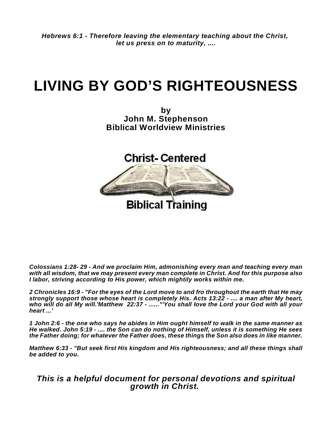*Hebrews 6:1 - Therefore leaving the elementary teaching about the Christ, let us press on to maturity, ....*

# **LIVING BY GOD'S RIGHTEOUSNESS**

**by John M. Stephenson Biblical Worldview Ministries**

# **Christ-Centered**



# **Biblical Training**

*Colossians 1:28- 29 - And we proclaim Him, admonishing every man and teaching every man with all wisdom, that we may present every man complete in Christ. And for this purpose also I labor, striving according to His power, which mightily works within me.*

*2 Chronicles 16:9 - "For the eyes of the Lord move to and fro throughout the earth that He may strongly support those whose heart is completely His. Acts 13:22 - .... a man after My heart, who will do all My will.'Matthew 22:37 - ......"'You shall love the Lord your God with all your heart ...'*

*1 John 2:6 - the one who says he abides in Him ought himself to walk in the same manner as He walked. John 5:19 - .... the Son can do nothing of Himself, unless it is something He sees the Father doing; for whatever the Father does, these things the Son also does in like manner.*

*Matthew 6:33 - "But seek first His kingdom and His righteousness; and all these things shall be added to you.*

*This is a helpful document for personal devotions and spiritual growth in Christ.*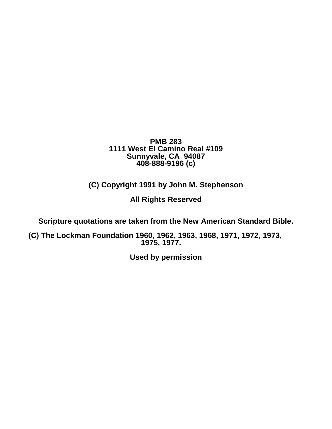# **PMB 283 1111 West El Camino Real #109 Sunnyvale, CA 94087 408-888-9196 (c)**

**(C) Copyright 1991 by John M. Stephenson**

**All Rights Reserved**

**Scripture quotations are taken from the New American Standard Bible.**

**(C) The Lockman Foundation 1960, 1962, 1963, 1968, 1971, 1972, 1973, 1975, 1977.**

**Used by permission**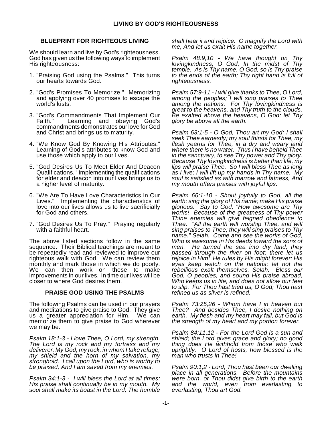# **BLUEPRINT FOR RIGHTEOUS LIVING**

We should learn and live by God's righteousness. God has given us the following ways to implement His righteousness:

- 1. "Praising God using the Psalms." This turns our hearts towards God.
- 2. "God's Promises To Memorize." Memorizing and applying over 40 promises to escape the world's lusts.
- 3. "God's Commandments That Implement Our Learning and obeying God's commandments demonstrates our love for God and Christ and brings us to maturity.
- 4. "We Know God By Knowing His Attributes." Learning of God's attributes to know God and use those which apply to our lives.
- 5. "God Desires Us To Meet Elder And Deacon Qualifications." Implementing the qualifications for elder and deacon into our lives brings us to a higher level of maturity.
- 6. "We Are To Have Love Characteristics In Our Implementing the characteristics of love into our lives allows us to live sacrificially for God and others.
- 7. "God Desires Us To Pray." Praying regularly with a faithful heart.

The above listed sections follow in the same sequence. Their Biblical teachings are meant to be repeatedly read and reviewed to improve our righteous walk with God. We can review them monthly and mark those in which we do poorly. We can then work on these to make improvements in our lives. In time our lives will be closer to where God desires them.

# **PRAISE GOD USING THE PSALMS**

The following Psalms can be used in our prayers and meditations to give praise to God. They give us a greater appreciation for Him. We can us a greater appreciation for Him. memorize them to give praise to God wherever we may be.

*Psalm 18:1-3 - I love Thee, O Lord, my strength. The Lord is my rock and my fortress and my deliverer, My God, my rock, in whom I take refuge; my shield and the horn of my salvation, my stronghold. I call upon the Lord, who is worthy to be praised, And I am saved from my enemies.* 

*Psalm 34:1-3 - I will bless the Lord at all times; His praise shall continually be in my mouth. My soul shall make its boast in the Lord; The humble* *shall hear it and rejoice. O magnify the Lord with me, And let us exalt His name together.*

*Psalm 48:9,10 - We have thought on Thy lovingkindness, O God, In the midst of Thy temple. As is Thy name, O God, so is Thy praise to the ends of the earth; Thy right hand is full of righteousness.* 

*Psalm 57:9-11 - I will give thanks to Thee, O Lord, among the peoples; I will sing praises to Thee among the nations. For Thy lovingkindness is great to the heavens, and Thy truth to the clouds. Be exalted above the heavens, O God; let Thy glory be above all the earth.* 

*Psalm 63:1-5 - O God, Thou art my God; I shall seek Thee earnestly; my soul thirsts for Thee, my flesh yearns for Thee, in a dry and weary land where there is no water. Thus I have beheld Thee in the sanctuary, to see Thy power and Thy glory. Because Thy lovingkindness is better than life, my lips will praise Thee. So I will bless Thee as long as I live; I will lift up my hands in Thy name. My soul is satisfied as with marrow and fatness, And my mouth offers praises with joyful lips.* 

*Psalm 66:1-10 - Shout joyfully to God, all the earth; sing the glory of His name; make His praise glorious. Say to God, "How awesome are Thy works! Because of the greatness of Thy power Thine enemies will give feigned obedience to Thee. "All the earth will worship Thee, and will sing praises to Thee; they will sing praises to Thy name." Selah. Come and see the works of God, Who is awesome in His deeds toward the sons of He turned the sea into dry land; they passed through the river on foot; there let us rejoice in Him! He rules by His might forever; His eyes keep watch on the nations; let not the rebellious exalt themselves. Selah. Bless our God, O peoples, and sound His praise abroad, Who keeps us in life, and does not allow our feet to slip. For Thou hast tried us, O God; Thou hast refined us as silver is refined.* 

*Psalm 73:25,26 - Whom have I in heaven but Thee? And besides Thee, I desire nothing on earth. My flesh and my heart may fail, but God is the strength of my heart and my portion forever.* 

*Psalm 84:11,12 - For the Lord God is a sun and shield; the Lord gives grace and glory; no good thing does He withhold from those who walk uprightly. O Lord of hosts, how blessed is the man who trusts in Thee!* 

*Psalm 90:1,2 - Lord, Thou hast been our dwelling place in all generations. Before the mountains were born, or Thou didst give birth to the earth and the world, even from everlasting to everlasting, Thou art God.*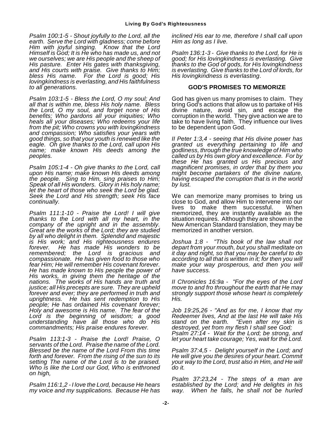*Psalm 100:1-5 - Shout joyfully to the Lord, all the earth. Serve the Lord with gladness; come before Him with joyful singing. Himself is God; It is He who has made us, and not we ourselves; we are His people and the sheep of His pasture. Enter His gates with thanksgiving, and His courts with praise. Give thanks to Him; For the Lord is good; His lovingkindness is everlasting, and His faithfulness to all generations.* 

*Psalm 103:1-5 - Bless the Lord, O my soul; And all that is within me, bless His holy name. Bless the Lord, O my soul, and forget none of His benefits; Who pardons all your iniquities; Who heals all your diseases; Who redeems your life from the pit; Who crowns you with lovingkindness and compassion; Who satisfies your years with good things, so that your youth is renewed like the eagle. Oh give thanks to the Lord, call upon His name; make known His deeds among the peoples.* 

*Psalm 105:1-4 - Oh give thanks to the Lord, call upon His name; make known His deeds among the people. Sing to Him, sing praises to Him; Speak of all His wonders. Glory in His holy name; let the heart of those who seek the Lord be glad. Seek the Lord and His strength; seek His face continually.* 

*Psalm 111:1-10 - Praise the Lord! I will give thanks to the Lord with all my heart, in the company of the upright and in the assembly. Great are the works of the Lord; they are studied by all who delight in them. Splendid and majestic is His work; and His righteousness endures forever. He has made His wonders to be* gracious and *compassionate. He has given food to those who fear Him; He will remember His covenant forever. He has made known to His people the power of His works, in giving them the heritage of the nations. The works of His hands are truth and justice; all His precepts are sure. They are upheld forever and ever; they are performed in truth and uprightness. He has sent redemption to His people; He has ordained His covenant forever; Holy and awesome is His name. The fear of the Lord is the beginning of wisdom; a good understanding have all those who do His commandments; His praise endures forever.* 

*Psalm 113:1-3 - Praise the Lord! Praise, O servants of the Lord. Praise the name of the Lord. Blessed be the name of the Lord From this time forth and forever. From the rising of the sun to its setting The name of the Lord is to be praised. Who is like the Lord our God, Who is enthroned on high,* 

*Psalm 116:1,2 - I love the Lord, because He hears my voice and my supplications. Because He has* *inclined His ear to me, therefore I shall call upon Him as long as I live.*

*Psalm 136:1-3 - Give thanks to the Lord, for He is good; for His lovingkindness is everlasting. Give thanks to the God of gods, for His lovingkindness is everlasting. Give thanks to the Lord of lords, for His lovingkindness is everlasting*.

# **GOD'S PROMISES TO MEMORIZE**

God has given us many promises to claim. They bring God's actions that allow us to partake of His divine nature, avoid sin, and escape the corruption in the world. They give action we are to take to have living faith. They influence our lives to be dependent upon God.

*II Peter 1:3,4 - seeing that His divine power has granted us everything pertaining to life and godliness, through the true knowledge of Him who called us by His own glory and excellence. For by these He has granted us His precious and magnificent promises, in order that by them you might become partakers of the divine nature, having escaped the corruption that is in the world by lust.*

We can memorize many promises to bring us close to God, and allow Him to intervene into our lives to make them successful. When memorized, they are instantly available as the situation requires. Although they are shown in the New American Standard translation, they may be memorized in another version.

*Joshua 1:8 - "This book of the law shall not depart from your mouth, but you shall meditate on it day and night, so that you may be careful to do according to all that is written in it; for then you will make your way prosperous, and then you will have success.* 

*II Chronicles 16:9a - "For the eyes of the Lord move to and fro throughout the earth that He may strongly support those whose heart is completely His.*

*Job 19:25,26 - "And as for me, I know that my Redeemer lives, And at the last He will take His stand on the earth. "Even after my skin is destroyed, yet from my flesh I shall see God; Psalm 27:14 - Wait for the Lord; be strong, and let your heart take courage; Yes, wait for the Lord.*

*Psalm 37:4,5 - Delight yourself in the Lord; and He will give you the desires of your heart. Commit your way to the Lord, trust also in Him, and He will do it.*

*Psalm 37:23,24 - The steps of a man are established by the Lord; and He delights in his <i>When he falls*, *he shall not be hurled*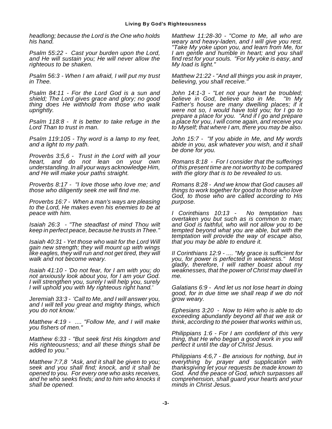*headlong; because the Lord is the One who holds his hand.*

*Psalm 55:22 - Cast your burden upon the Lord, and He will sustain you; He will never allow the righteous to be shaken.* 

*Psalm 56:3 - When I am afraid, I will put my trust in Thee.* 

*Psalm 84:11 - For the Lord God is a sun and shield; The Lord gives grace and glory; no good thing does He withhold from those who walk uprightly.*

*Psalm 118:8 - It is better to take refuge in the Lord Than to trust in man.* 

*Psalm 119:105 - Thy word is a lamp to my feet, and a light to my path.* 

*Proverbs 3:5,6 - Trust in the Lord with all your heart, and do not lean on your own understanding. In all your ways acknowledge Him, and He will make your paths straight.* 

*Proverbs 8:17 - "I love those who love me; and those who diligently seek me will find me.*

*Proverbs 16:7 - When a man's ways are pleasing to the Lord, He makes even his enemies to be at peace with him.* 

*Isaiah 26:3 - "The steadfast of mind Thou wilt keep in perfect peace, because he trusts in Thee."*

*Isaiah 40:31 - Yet those who wait for the Lord Will gain new strength; they will mount up with wings like eagles, they will run and not get tired, they will walk and not become weary.* 

*Isaiah 41:10 - 'Do not fear, for I am with you; do not anxiously look about you, for I am your God. I will strengthen you, surely I will help you, surely I will uphold you with My righteous right hand.'*

*Jeremiah 33:3 - 'Call to Me, and I will answer you, and I will tell you great and mighty things, which you do not know.'*

*Matthew 4:19 - .... "Follow Me, and I will make you fishers of men."* 

*Matthew 6:33 - "But seek first His kingdom and His righteousness; and all these things shall be added to you."*

*Matthew 7:7,8 "Ask, and it shall be given to you; seek and you shall find; knock, and it shall be opened to you. For every one who asks receives, and he who seeks finds; and to him who knocks it shall be opened.*

*Matthew 11:28-30 - "Come to Me, all who are weary and heavy-laden, and I will give you rest. "Take My yoke upon you, and learn from Me, for I am gentle and humble in heart; and you shall find rest for your souls. "For My yoke is easy, and My load is light."* 

*Matthew 21:22 - "And all things you ask in prayer, believing, you shall receive."* 

*John 14:1-3 - "Let not your heart be troubled; believe in God, believe also in Me. Father's house are many dwelling places; if it were not so, I would have told you; for I go to prepare a place for you. "And if I go and prepare a place for you, I will come again, and receive you to Myself; that where I am, there you may be also.*

*John 15:7 - "If you abide in Me, and My words abide in you, ask whatever you wish, and it shall be done for you.* 

*Romans 8:18 - For I consider that the sufferings of this present time are not worthy to be compared with the glory that is to be revealed to us.* 

*Romans 8:28 - And we know that God causes all things to work together for good to those who love God, to those who are called according to His purpose.* 

*I Corinthians 10:13 - No temptation has overtaken you but such as is common to man; and God is faithful, who will not allow you to be tempted beyond what you are able, but with the temptation will provide the way of escape also, that you may be able to endure it.*

*II Corinthians 12:9 - .... "My grace is sufficient for you, for power is perfected in weakness." Most gladly, therefore, I will rather boast about my weaknesses, that the power of Christ may dwell in me.* 

*Galatians 6:9 - And let us not lose heart in doing good, for in due time we shall reap if we do not grow weary.* 

*Ephesians 3:20 - Now to Him who is able to do exceeding abundantly beyond all that we ask or think, according to the power that works within us,*

*Philippians 1:6 - For I am confident of this very thing, that He who began a good work in you will perfect it until the day of Christ Jesus.*

*Philippians 4:6,7 - Be anxious for nothing, but in everything by prayer and supplication with thanksgiving let your requests be made known to God. And the peace of God, which surpasses all comprehension, shall guard your hearts and your minds in Christ Jesus.*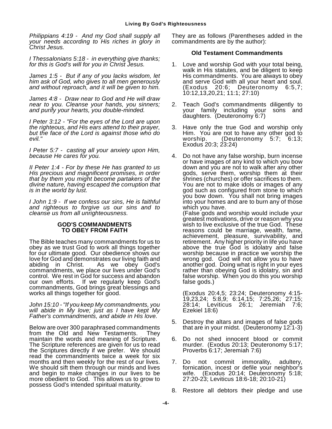*Philippians 4:19 - And my God shall supply all your needs according to His riches in glory in Christ Jesus.* 

*I Thessalonians 5:18 - in everything give thanks; for this is God's will for you in Christ Jesus.* 

*James 1:5 - But if any of you lacks wisdom, let him ask of God, who gives to all men generously and without reproach, and it will be given to him.*

*James 4:8 - Draw near to God and He will draw near to you. Cleanse your hands, you sinners; and purify your hearts, you double-minded.* 

*I Peter 3:12 - "For the eyes of the Lord are upon the righteous, and His ears attend to their prayer, but the face of the Lord is against those who do evil."* 

*I Peter 5:7 - casting all your anxiety upon Him, because He cares for you.* 

*II Peter 1:4 - For by these He has granted to us His precious and magnificent promises, in order that by them you might become partakers of the divine nature, having escaped the corruption that is in the world by lust.* 

*I John 1:9 - If we confess our sins, He is faithful and righteous to forgive us our sins and to cleanse us from all unrighteousness.*

## **GOD'S COMMANDMENTS TO OBEY FROM FAITH**

The Bible teaches many commandments for us to obey as we trust God to work all things together for our ultimate good. Our obedience shows our love for God and demonstrates our living faith and<br>abiding in Christ. As we obey God's As we obey God's commandments, we place our lives under God's control. We rest in God for success and abandon our own efforts. If we regularly keep God's commandments, God brings great blessings and works all things together for good.

*John 15:10 - "If you keep My commandments, you will abide in My love; just as I have kept My Father's commandments, and abide in His love.*

Below are over 300 paraphrased commandments from the Old and New Testaments. They maintain the words and meaning of Scripture. The Scripture references are given for us to read the Scriptures directly if we prefer. We should read the commandments twice a week for six months and then weekly for the rest of our lives. We should sift them through our minds and lives and begin to make changes in our lives to be more obedient to God. This allows us to grow to possess God's intended spiritual maturity.

They are as follows (Parentheses added in the commandments are by the author):

# **Old Testament Commandments**

- 1. Love and worship God with your total being, walk in His statutes, and be diligent to keep His commandments. You are always to obey and serve God with all your heart and soul. (Exodus 20:6; Deuteronomy 6:5,7; 10:12,13,20,21; 11:1; 27:10)
- 2. Teach God's commandments diligently to your family including your daughters. (Deuteronomy 6:7)
- 3. Have only the true God and worship only Him. You are not to have any other god to worship. (Deuteronomy 5:7; 6:13; Exodus 20:3; 23:24)
- 4. Do not have any false worship, burn incense or have images of any kind to which you bow down and you are not to walk after any other gods, serve them, worship them at their shrines (churches) or offer sacrifices to them. You are not to make idols or images of any god such as configured from stone to which you bow down. You shall not bring images into your homes and are to burn any of those which you have. (False gods and worship would include your

greatest motivations, drive or reason why you wish to live exclusive of the true God. These reasons could be marriage, wealth, fame, achievement, pleasure, survivability, and retirement. Any higher priority in life you have above the true God is idolatry and false worship because in practice we worship the wrong god. God will not allow you to have another god. Doing what is right in your eyes rather than obeying God is idolatry, sin and false worship. When you do this you worship false gods.)

(Exodus 20:4,5; 23:24; Deuteronomy 4:15- 19,23,24; 5:8,9; 6:14,15; 7:25,26; 27:15; 28:14; Leviticus 26:1; Jeremiah 7:6; Ezekiel 18:6)

- 5. Destroy the altars and images of false gods that are in your midst. (Deuteronomy 12:1-3)
- 6. Do not shed innocent blood or commit murder. (Exodus 20:13; Deuteronomy 5:17; Proverbs 6:17; Jeremiah 7:6)
- 7. Do not commit immorality, adultery, fornication, incest or defile your neighbor's wife. (Exodus 20:14; Deuteronomy 5:18; 27:20-23; Leviticus 18:6-18; 20:10-21)
- 8. Restore all debtors their pledge and use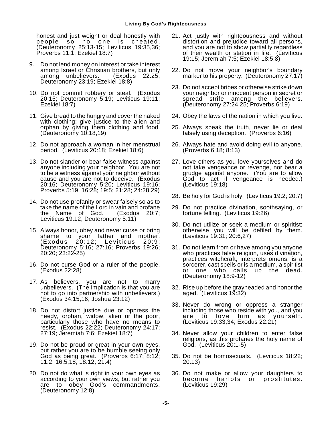honest and just weight or deal honestly with<br>people so no one is cheated. one is cheated. (Deuteronomy 25:13-15; Leviticus 19:35,36; Proverbs 11:1; Ezekiel 18:7)

- 9. Do not lend money on interest or take interest among Israel or Christian brothers, but only<br>among unbelievers. (Exodus 22:25; among unbelievers. Deuteronomy 23:19; Ezekiel 18:8)
- 10. Do not commit robbery or steal. (Exodus 20:15; Deuteronomy 5:19; Leviticus 19:11; Ezekiel 18:7)
- 11. Give bread to the hungry and cover the naked with clothing; give justice to the alien and orphan by giving them clothing and food. (Deuteronomy 10:18,19)
- 12. Do not approach a woman in her menstrual period. (Leviticus 20:18; Ezekiel 18:6)
- 13. Do not slander or bear false witness against anyone including your neighbor. You are not to be a witness against your neighbor without cause and you are not to deceive. (Exodus 20:16; Deuteronomy 5:20; Leviticus 19:16; Proverbs 5:19; 16:28; 19:5; 21:28; 24:28,29)
- 14. Do not use profanity or swear falsely so as to take the name of the Lord in vain and profane the Name of God. (Exodus 20:7; Leviticus 19:12; Deuteronomy 5:11)
- 15. Always honor, obey and never curse or bring shame to your father and mother.<br>(Exodus 20:12; Leviticus 20:9;  $20:12$ ; Leviticus Deuteronomy 5:16; 27:16; Proverbs 19:26; 20:20; 23:22-25)
- 16. Do not curse God or a ruler of the people. (Exodus 22:28)
- 17. As believers, you are not to marry unbelievers. (The implication is that you are not to go into partnership with unbelievers.) (Exodus 34:15,16; Joshua 23:12)
- 18. Do not distort justice due or oppress the needy, orphan, widow, alien or the poor, particularly those who have no means to resist. (Exodus 22:22; Deuteronomy 24:17; 27:19; Jeremiah 7:6; Ezekiel 18:7)
- 19. Do not be proud or great in your own eyes, but rather you are to be humble seeing only God as being great. (Proverbs 6:17; 8:12; 11:2; 16:5,18; 18:12; 21:4)
- 20. Do not do what is right in your own eyes as according to your own views, but rather you are to obey God's commandments. (Deuteronomy 12:8)
- 21. Act justly with righteousness and without distortion and prejudice toward all persons, and you are not to show partiality regardless of their wealth or station in life. (Leviticus 19:15; Jeremiah 7:5; Ezekiel 18:5,8)
- 22. Do not move your neighbor's boundary marker to his property. (Deuteronomy 27:17)
- 23. Do not accept bribes or otherwise strike down your neighbor or innocent person in secret or spread strife among the believers. (Deuteronomy 27:24,25; Proverbs 6:19)
- 24. Obey the laws of the nation in which you live.
- 25. Always speak the truth, never lie or deal falsely using deception. (Proverbs 6:16)
- 26. Always hate and avoid doing evil to anyone. (Proverbs 6:18; 8:13)
- 27. Love others as you love yourselves and do not take vengeance or revenge, nor bear a grudge against anyone. (You are to allow God to act if vengeance is needed.) (Leviticus 19:18)
- 28. Be holy for God is holy. (Leviticus 19:2; 20:7)
- 29. Do not practice divination, soothsaying, or fortune telling. (Leviticus 19:26)
- 30. Do not utilize or seek a medium or spiritist; otherwise you will be defiled by them. (Leviticus 19:31; 20:6,27)
- 31. Do not learn from or have among you anyone who practices false religion, uses divination, practices witchcraft, interprets omens, is a sorcerer, cast spells or is a medium, a spiritist or one who calls up (Deuteronomy 18:9-12)
- 32. Rise up before the grayheaded and honor the aged. (Leviticus 19:32)
- 33. Never do wrong or oppress a stranger including those who reside with you, and you are to love him as yourself. (Leviticus 19:33,34; Exodus 22:21)
- 34. Never allow your children to enter false religions, as this profanes the holy name of God. (Leviticus 20:1-5)
- 35. Do not be homosexuals. (Leviticus 18:22; 20:13)
- 36. Do not make or allow your daughters to prostitutes. (Leviticus 19:29)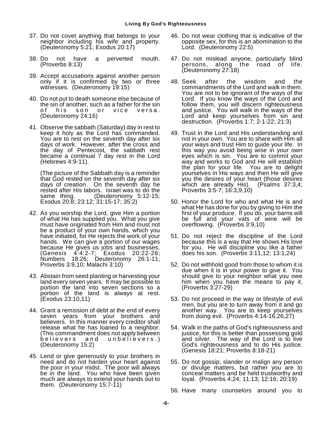- 37. Do not covet anything that belongs to your neighbor including his wife and property. (Deuteronomy 5:21; Exodus 20:17)
- 38. Do not have a perverted mouth. (Proverbs 8:13)
- 39. Accept accusations against another person only if it is confirmed by two or three witnesses. (Deuteronomy 19:15)
- 40. Do not put to death someone else because of the sin of another, such as a father for the sin<br>of his son or vice versa. of his son or vice versa. (Deuteronomy 24:16)
- 41. Observe the sabbath (Saturday) day in rest to keep it holy as the Lord has commanded. You are to rest on the seventh day after six days of work. However, after the cross and the day of Pentecost, the sabbath rest became a continual 7 day rest in the Lord (Hebrews 4:9-11).

(The picture of the Sabbath day is a reminder that God rested on the seventh day after six days of creation. On the seventh day he rested after His labors. Israel was to do the same thing. (Deuteronomy 5:12-15; Exodus 20:8; 23:12; 31:15-17; 35:2)

- 42. As you worship the Lord, give Him a portion of what He has supplied you. What you give must have originated from Him and must not be a product of your own hands, which you have initiated, for He rejects the work of your hands. We can give a portion of our wages because He gives us jobs and businesses.<br>(Genesis 4:4:2-7: Exodus 20:22-26: (Genesis 4:4:2-7; Exodus 20:22-26; Numbers 18:26; Deuteronomy 26:1-11; Proverbs 3:9,10; Malachi 3:10)
- 43. Abstain from seed planting or harvesting your land every seven years. It may be possible to portion the land into seven sections so a portion of the land is always at rest. (Exodus 23:10,11)
- 44. Grant a remission of debt at the end of every seven years from your brothers and believers. In this manner every creditor shall release what he has loaned to a neighbor. (This commandment does not apply between<br>believers and unbelievers.) believers and unbelievers.) (Deuteronomy 15:2)
- 45. Lend or give generously to your brothers in need and do not harden your heart against the poor in your midst. The poor will always be in the land. You who have been given much are always to extend your hands out to them. (Deuteronomy 15:7-11)
- 46. Do not wear clothing that is indicative of the opposite sex, for this is an abomination to the Lord. (Deuteronomy 22:5)
- 47. Do not mislead anyone, particularly blind persons, along the road of life. (Deuteronomy 27:18)
- 48. Seek after the wisdom and the commandments of the Lord and walk in them. You are not to be ignorant of the ways of the Lord. If you know the ways of the Lord and follow them, you will discern righteousness and justice. You will walk in the ways of the Lord and keep yourselves from sin and destruction. (Proverbs 1:7; 2-1-22; 21:3)
- 49. Trust in the Lord and His understanding and not in your own. You are to share with Him all your ways and trust Him to guide your life. In this way you avoid being wise in your own eyes which is sin. You are to commit your way and works to God and He will establish the plan for your life. You are to delight yourselves in His ways and then He will give you the desires of your heart (those desires<br>which are already His). (Psalms 37:3.4; which are already His). Proverbs 3:5-7; 16:3,9,10)
- 50. Honor the Lord for who and what He is and what He has done for you by giving to Him the first of your produce. If you do, your barns will be full and your vats of wine will be overflowing. (Proverbs 3:9,10)
- 51. Do not reject the discipline of the Lord because this is a way that He shows His love for you. He will discipline you like a father does his son. (Proverbs 3:11,12; 13:1,24)
- 52. Do not withhold good from those to whom it is due when it is in your power to give it. You should give to your neighbor what you owe him when you have the means to pay it. (Proverbs 3:27-29)
- 53. Do not proceed in the way or lifestyle of evil men, but you are to turn away from it and go another way. You are to keep yourselves from doing evil. (Proverbs 4:14-16,26,27)
- 54. Walk in the paths of God's righteousness and justice, for this is better than possessing gold and silver. The way of the Lord is to live God's righteousness and to do His justice. (Genesis 18:21; Proverbs 8:18-21)
- 55. Do not gossip, slander or malign any person or divulge matters, but rather you are to conceal matters and be held trustworthy and loyal. (Proverbs 4:24; 11:13; 12:16; 20:19)
- 56. Have many counselors around you to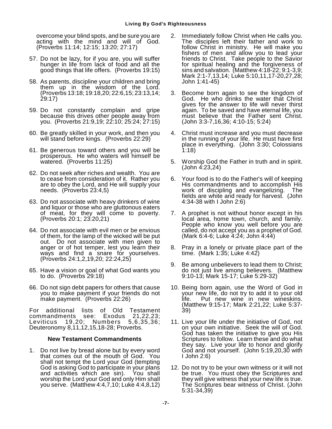overcome your blind spots, and be sure you are acting with the mind and will of God. (Proverbs 11:14; 12:15; 13:20; 27:17)

- 57. Do not be lazy, for if you are, you will suffer hunger in life from lack of food and all the good things that life offers. (Proverbs 19:15)
- 58. As parents, discipline your children and bring them up in the wisdom of the Lord. (Proverbs 13:18; 19:18,20; 22:6,15; 23:13,14; 29:17)
- 59. Do not constantly complain and gripe because this drives other people away from you. (Proverbs 21:9,19; 22:10; 25:24; 27:15)
- 60. Be greatly skilled in your work, and then you will stand before kings. (Proverbs 22:29)
- 61. Be generous toward others and you will be prosperous. He who waters will himself be watered. (Proverbs 11:25)
- 62. Do not seek after riches and wealth. You are to cease from consideration of it. Rather you are to obey the Lord, and He will supply your needs. (Proverbs 23:4,5)
- 63. Do not associate with heavy drinkers of wine and liquor or those who are gluttonous eaters of meat, for they will come to poverty. (Proverbs 20:1; 23:20,21)
- 64. Do not associate with evil men or be envious of them, for the lamp of the wicked will be put out. Do not associate with men given to anger or of hot temper, lest you learn their ways and find a snare for yourselves. (Proverbs 24:1,2,19,20; 22:24,25)
- 65. Have a vision or goal of what God wants you to do. (Proverbs 29:18)
- 66. Do not sign debt papers for others that cause you to make payment if your friends do not make payment. (Proverbs 22:26)

For additional lists of Old Testament commandments see: Exodus 21,22,23; 19,20; Numbers Deuteronomy 8,11,12,15,18-28; Proverbs.

# **New Testament Commandments**

1. Do not live by bread alone but by every word that comes out of the mouth of God. You shall not tempt the Lord your God (tempting God is asking God to participate in your plans<br>and activities which are sin). You shall and activities which are sin). worship the Lord your God and only Him shall you serve. (Matthew 4:4,7,10; Luke 4:4,8,12)

- 2. Immediately follow Christ when He calls you. The disciples left their father and work to follow Christ in ministry. He will make you fishers of men and allow you to lead your friends to Christ. Take people to the Savior for spiritual healing and the forgiveness of sins and salvation. (Matthew 4:18-22; 9:1-3,9; Mark 2:1-7,13,14; Luke 5:10,11,17-20,27,28; John 1:41-45)
- 3. Become born again to see the kingdom of God. He who drinks the water that Christ gives for the answer to life will never thirst again. To be saved and have eternal life, you must believe that the Father sent Christ. (John 3:3-7,16,36; 4:10-15; 5:24)
- 4. Christ must increase and you must decrease in the running of your life. He must have first place in everything. (John 3:30; Colossians 1:18)
- 5. Worship God the Father in truth and in spirit. (John 4:23,24)
- 6. Your food is to do the Father's will of keeping His commandments and to accomplish His work of discipling and evangelizing. The fields are white and ready for harvest. (John 4:34-38 with I John 2:6)
- 7. A prophet is not without honor except in his local area, home town, church, and family. People who know you well before you are called, do not accept you as a prophet of God. (Mark 6:4-6; Luke 4:24; John 4:44)
- 8. Pray in a lonely or private place part of the time. (Mark 1:35; Luke 4:42)
- 9. Be among unbelievers to lead them to Christ; do not just live among believers. (Matthew 9:10-13; Mark 15-17; Luke 5:29-32)
- 10. Being born again, use the Word of God in your new life, do not try to add it to your old Put new wine in new wineskins. (Matthew 9:15-17; Mark 2:21,22; Luke 5:37- 39)
- 11. Live your life under the initiative of God, not on your own initiative. Seek the will of God. God has taken the initiative to give you His Scriptures to follow. Learn these and do what they say. Live your life to honor and glorify God and not yourself. (John 5:19,20,30 with I John 2:6)
- 12. Do not try to be your own witness or it will not be true. You must obey the Scriptures and they will give witness that your new life is true. The Scriptures bear witness of Christ. (John 5:31-34,39)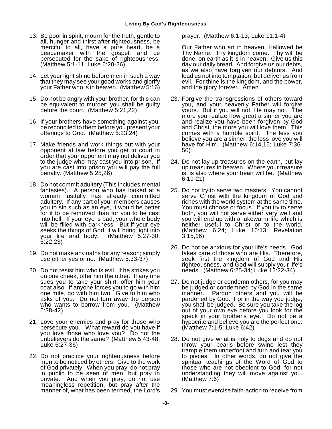- 13. Be poor in spirit, mourn for the truth, gentle to all, hunger and thirst after righteousness, be merciful to all, have a pure heart, be a peacemaker with the gospel, and be persecuted for the sake of righteousness. (Matthew 5:1-11; Luke 6:20-26)
- 14. Let your light shine before men in such a way that they may see your good works and glorify your Father who is in heaven. (Matthew 5:16)
- 15. Do not be angry with your brother, for this can be equivalent to murder; you shall be guilty before the court. (Matthew 5:21,22)
- 16. If your brothers have something against you, be reconciled to them before you present your offerings to God. (Matthew 5:23,24)
- 17. Make friends and work things out with your opponent at law before you get to court in order that your opponent may not deliver you to the judge who may cast you into prison. If you are cast into prison you will pay the full penalty. (Matthew 5:25,26)
- 18. Do not commit adultery (This includes mental fantasies). A person who has looked at a woman lustfully has already committed adultery. If any part of your members causes you to sin such as an eye, it would be better for it to be removed than for you to be cast into hell. If your eye is bad, your whole body will be filled with darkness. But if your eye seeks the things of God, it will bring light into<br>your life and body. (Matthew 5:27-30; your life and body. 6:22,23)
- 19. Do not make any oaths for any reason; simply use either yes or no. (Matthew 5:33-37)
- 20. Do not resist him who is evil. If he strikes you on one cheek, offer him the other. If any one sues you to take your shirt, offer him your coat also. If anyone forces you to go with him one mile, go with him two. Give to him who asks of you. Do not turn away the person who wants to borrow from you. (Matthew 5:38-42)
- 21. Love your enemies and pray for those who persecute you. What reward do you have if you love those who love you? Do not the unbelievers do the same? (Matthew 5:43-48; Luke 6:27-36)
- 22. Do not practice your righteousness before men to be noticed by others. Give to the work of God privately. When you pray, do not pray in public to be seen of men, but pray in private. And when you pray, do not use meaningless repetition, but pray after the manner of, what has been termed, the Lord's

prayer. (Matthew 6:1-13; Luke 11:1-4)

Our Father who art in heaven, Hallowed be Thy Name. Thy kingdom come. Thy will be done, on earth as it is in heaven. Give us this day our daily bread. And forgive us our debts, as we also have forgiven our debtors. And lead us not into temptation, but deliver us from evil. For thine is the kingdom, and the power, and the glory forever. Amen

- 23. Forgive the transgressions of others toward you, and your heavenly Father will forgive yours. But if you will not, He may not. The more you realize how great a sinner you are and realize you have been forgiven by God and Christ, the more you will love them. This comes with a humble spirit. The less you believe you are a sinner, the less love you will have for Him. (Matthew 6:14,15; Luke 7:36- 50)
- 24. Do not lay up treasures on the earth, but lay up treasures in heaven. Where your treasure is, is also where your heart will be. (Matthew 6:19-21)
- 25. Do not try to serve two masters. You cannot serve Christ with the kingdom of God and riches with the world system at the same time. You must choose or focus. If you try to serve both, you will not serve either very well and you will end up with a lukewarm life which is neither useful to Christ or to the world. (Matthew 6:24; Luke 16:13; Revelation 3:15,16)
- 26. Do not be anxious for your life's needs. God takes care of those who are His. Therefore, seek first the kingdom of God and His righteousness, and God will supply your life's needs. (Matthew 6:25-34; Luke 12:22-34)
- 27. Do not judge or condemn others, for you may be judged or condemned by God in the same manner. Pardon others and you will be pardoned by God. For in the way you judge, you shall be judged. Be sure you take the log out of your own eye before you look for the speck in your brother's eye. Do not be a hypocrite and believe you are the perfect one. (Matthew 7:1-5; Luke 6:42)
- 28. Do not give what is holy to dogs and do not throw your pearls before swine lest they trample them underfoot and turn and tear you to pieces. In other words, do not give the spiritual teachings of the Word of God to those who are not obedient to God; for not understanding they will move against you. (Matthew 7:6)
- 29. You must exercise faith-action to receive from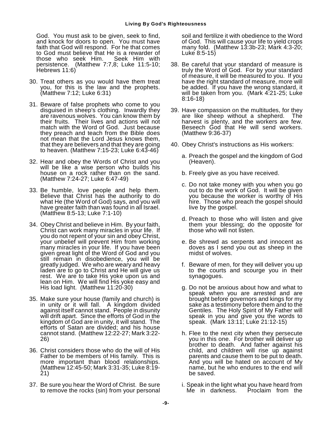God. You must ask to be given, seek to find, and knock for doors to open. You must have faith that God will respond. For he that comes to God must believe that He is a rewarder of those who seek Him. Seek Him with those who seek Him. persistence. (Matthew 7:7,8; Luke 11:5-10; Hebrews 11:6)

- 30. Treat others as you would have them treat you, for this is the law and the prophets. (Matthew 7:12; Luke 6:31)
- 31. Beware of false prophets who come to you disguised in sheep's clothing. Inwardly they are ravenous wolves. You can know them by their fruits. Their lives and actions will not match with the Word of God. Just because they preach and teach from the Bible does not mean that the Lord Jesus knows them, that they are believers and that they are going to heaven. (Matthew 7:15-23; Luke 6:43-46)
- 32. Hear and obey the Words of Christ and you will be like a wise person who builds his house on a rock rather than on the sand. (Matthew 7:24-27; Luke 6:47-49)
- 33. Be humble, love people and help them. Believe that Christ has the authority to do what He (the Word of God) says, and you will have greater faith than was found in all Israel. (Matthew 8:5-13; Luke 7:1-10)
- 34. Obey Christ and believe in Him. By your faith, Christ can work many miracles in your life. If you do not repent of your sin and obey Christ, your unbelief will prevent Him from working many miracles in your life. If you have been given great light of the Word of God and you still remain in disobedience, you will be greatly judged. We who are weary and heavy laden are to go to Christ and He will give us rest. We are to take His yoke upon us and lean on Him. We will find His yoke easy and His load light. (Matthew 11:20-30)
- 35. Make sure your house (family and church) is in unity or it will fall. A kingdom divided against itself cannot stand. People in disunity will drift apart. Since the efforts of God in the kingdom of God are in unity, it will stand. The efforts of Satan are divided; and his house cannot stand. (Matthew 12:22-27; Mark 3:22- 26)
- 36. Christ considers those who do the will of His Father to be members of His family. This is more important than blood relationships. (Matthew 12:45-50; Mark 3:31-35; Luke 8:19- 21)
- 37. Be sure you hear the Word of Christ. Be sure to remove the rocks (sin) from your personal

soil and fertilize it with obedience to the Word of God. This will cause your life to yield crops many fold. (Matthew 13:3b-23; Mark 4:3-20; Luke 8:5-15)

- 38. Be careful that your standard of measure is truly the Word of God. For by your standard of measure, it will be measured to you. If you have the right standard of measure, more will be added. If you have the wrong standard, it will be taken from you. (Mark 4:21-25; Luke 8:16-18)
- 39. Have compassion on the multitudes, for they are like sheep without a shepherd. harvest is plenty, and the workers are few. Beseech God that He will send workers. (Matthew 9:36-37)
- 40. Obey Christ's instructions as His workers:
	- a. Preach the gospel and the kingdom of God (Heaven).
	- b. Freely give as you have received.
	- c. Do not take money with you when you go out to do the work of God. It will be given you because the worker is worthy of His hire. Those who preach the gospel should live by the gospel.
	- d. Preach to those who will listen and give them your blessing; do the opposite for those who will not listen.
	- e. Be shrewd as serpents and innocent as doves as I send you out as sheep in the midst of wolves.
	- f. Beware of men, for they will deliver you up to the courts and scourge you in their synagogues.
	- g. Do not be anxious about how and what to speak when you are arrested and are brought before governors and kings for my sake as a testimony before them and to the Gentiles. The Holy Spirit of My Father will speak in you and give you the words to speak. (Mark 13:11; Luke 21:12-15)
	- h. Flee to the next city when they persecute you in this one. For brother will deliver up brother to death. And father against his child, and children will rise up against parents and cause them to be put to death. And you will be hated on account of My name, but he who endures to the end will be saved.
	- i. Speak in the light what you have heard from<br>Me in darkness. Proclaim from the Proclaim from the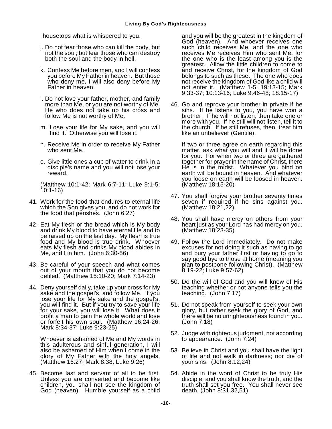housetops what is whispered to you.

- j. Do not fear those who can kill the body, but not the soul; but fear those who can destroy both the soul and the body in hell.
- k. Confess Me before men, and I will confess you before My Father in heaven. But those who deny me, I will also deny before My Father in heaven.
- l. Do not love your father, mother, and family more than Me, or you are not worthy of Me. He who does not take up his cross and follow Me is not worthy of Me.
- m. Lose your life for My sake, and you will find it. Otherwise you will lose it.
- n. Receive Me in order to receive My Father who sent Me.
- o. Give little ones a cup of water to drink in a disciple's name and you will not lose your reward.

(Matthew 10:1-42; Mark 6:7-11; Luke 9:1-5;  $10:1-16$ 

- 41. Work for the food that endures to eternal life which the Son gives you, and do not work for the food that perishes. (John 6:27)
- 42. Eat My flesh or the bread which is My body and drink My blood to have eternal life and to be raised up on the last day. My flesh is true food and My blood is true drink. Whoever eats My flesh and drinks My blood abides in Me, and I in him. (John 6:30-56)
- 43. Be careful of your speech and what comes out of your mouth that you do not become defiled. (Matthew 15:10-20; Mark 7:14-23)
- 44. Deny yourself daily, take up your cross for My sake and the gospel's, and follow Me. If you lose your life for My sake and the gospel's, you will find it. But if you try to save your life for your sake, you will lose it. What does it profit a man to gain the whole world and lose or forfeit his own soul. (Matthew 16:24-26; Mark 8:34-37; Luke 9:23-25)

Whoever is ashamed of Me and My words in this adulterous and sinful generation, I will also be ashamed of Him when I come in the glory of My Father with the holy angels. (Matthew 16:27; Mark 8:38; Luke 9:26)

45. Become last and servant of all to be first. Unless you are converted and become like children, you shall not see the kingdom of God (heaven). Humble yourself as a child and you will be the greatest in the kingdom of God (heaven). And whoever receives one such child receives Me, and the one who receives Me receives Him who sent Me; for the one who is the least among you is the greatest. Allow the little children to come to and receive Christ, for the kingdom of God belongs to such as these. The one who does not receive the kingdom of God like a child will not enter it. (Matthew 1-5; 19:13-15; Mark 9:33-37; 10:13-16; Luke 9:46-48; 18:15-17)

46. Go and reprove your brother in private if he sins. If he listens to you, you have won a brother. If he will not listen, then take one or more with you. If he still will not listen, tell it to the church. If he still refuses, then, treat him like an unbeliever (Gentile).

If two or three agree on earth regarding this matter, ask what you will and it will be done for you. For when two or three are gathered together for prayer in the name of Christ, there He is in the midst. Whatever you bind on earth will be bound in heaven. And whatever you loose on earth will be loosed in heaven. (Matthew 18:15-20)

- 47. You shall forgive your brother seventy times seven if required if he sins against you. (Matthew 18:21,22)
- 48. You shall have mercy on others from your heart just as your Lord has had mercy on you. (Matthew 18:23-35)
- 49. Follow the Lord immediately. Do not make excuses for not doing it such as having to go and bury your father first or having to go to say good bye to those at home (meaning you plan to postpone following Christ). (Matthew 8:19-22; Luke 9:57-62)
- 50. Do the will of God and you will know of His teaching whether or not anyone tells you the teaching. (John 7:17)
- 51. Do not speak from yourself to seek your own glory, but rather seek the glory of God, and there will be no unrighteousness found in you. (John 7:18)
- 52. Judge with righteous judgment, not according to appearance. (John 7:24)
- 53. Believe in Christ and you shall have the light of life and not walk in darkness; nor die of your sins. (John 8:12,24)
- 54. Abide in the word of Christ to be truly His disciple, and you shall know the truth, and the truth shall set you free. You shall never see death. (John 8:31,32,51)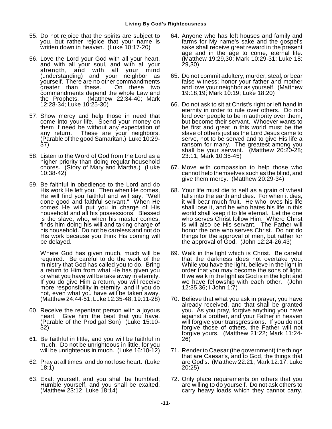- 55. Do not rejoice that the spirits are subject to you, but rather rejoice that your name is written down in heaven. (Luke 10:17-20)
- 56. Love the Lord your God with all your heart, and with all your soul, and with all your strength, and with all your mind (understanding) and your neighbor as yourself. There are no other commandments<br>
greater than these. On these two greater than these. commandments depend the whole Law and<br>the Prophets. (Matthew 22:34-40; Mark  $(Mat$ hew 22:34-40; Mark 12:28-34; Luke 10:25-30)
- 57. Show mercy and help those in need that come into your life. Spend your money on them if need be without any expectation of any return. These are your neighbors. (Parable of the good Samaritan.) Luke 10:29- 37)
- 58. Listen to the Word of God from the Lord as a higher priority than doing regular household chores. (Story of Mary and Martha.) (Luke 10:38-42)
- 59. Be faithful in obedience to the Lord and do His work He left you. Then when He comes, He will find you faithful and will say, "Well done good and faithful servant." When He comes He will put you in charge of His household and all his possessions. Blessed is the slave, who, when his master comes, finds him doing his will and taking charge of his household. Do not be careless and not do His work because you think His coming will be delayed.

Where God has given much, much will be required. Be careful to do the work of the ministry that God has called you to do. Bring a return to Him from what He has given you or what you have will be take away in eternity. If you do give Him a return, you will receive more responsibility in eternity, and if you do not, even what you have will be taken away. (Matthew 24:44-51; Luke 12:35-48; 19:11-28)

- 60. Receive the repentant person with a joyous heart. Give him the best that you have. (Parable of the Prodigal Son) (Luke 15:10- 32)
- 61. Be faithful in little, and you will be faithful in much. Do not be unrighteous in little, for you will be unrighteous in much. (Luke 16:10-12)
- 62. Pray at all times, and do not lose heart. (Luke 18:1)
- 63. Exalt yourself, and you shall be humbled; Humble yourself, and you shall be exalted. (Matthew 23:12; Luke 18:14)
- 64. Anyone who has left houses and family and farms for My name's sake and the gospel's sake shall receive great reward in the present age and in the age to come, eternal life. (Matthew 19:29,30; Mark 10:29-31; Luke 18: 29,30)
- 65. Do not commit adultery, murder, steal, or bear false witness; honor your father and mother and love your neighbor as yourself. (Matthew 19:18,19; Mark 10:19; Luke 18:20)
- 66. Do not ask to sit at Christ's right or left hand in eternity in order to rule over others. Do not lord over people to be in authority over them, but become their servant. Whoever wants to be first and great in this world must be the slave of others just as the Lord Jesus came to serve, not to be served and to give His life a ransom for many. The greatest among you shall be your servant. (Matthew 20:20-28; 23:11; Mark 10:35-45)
- 67. Move with compassion to help those who cannot help themselves such as the blind, and give them mercy. (Matthew 20:29-34)
- 68. Your life must die to self as a grain of wheat falls into the earth and dies. For when it dies, it will bear much fruit. He who loves his life shall lose it, and he who hates his life in this world shall keep it to life eternal. Let the one who serves Christ follow Him. Where Christ is will also be His servant. The Father will honor the one who serves Christ. Do not do things for the approval of men, but rather for the approval of God. (John 12:24-26,43)
- 69. Walk in the light which is Christ. Be careful that the darkness does not overtake you. While you have the light, believe in the light in order that you may become the sons of light. If we walk in the light as God is in the light and we have fellowship with each other. (John 12:35,36; I John 1:7)
- 70. Believe that what you ask in prayer, you have already received, and that shall be granted you. As you pray, forgive anything you have against a brother, and your Father in heaven will forgive your transgressions. If you do not forgive those of others, the Father will not forgive yours. (Matthew 21:22; Mark 11:24- 26)
- 71. Render to Caesar (the government) the things that are Caesar's, and to God, the things that are God's. (Matthew 22:21; Mark 12:17; Luke 20:25)
- 72. Only place requirements on others that you are willing to do yourself. Do not ask others to carry heavy loads which they cannot carry.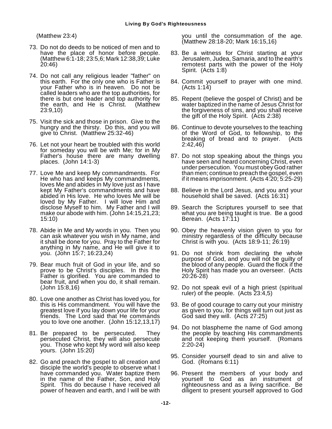(Matthew 23:4)

- 73. Do not do deeds to be noticed of men and to have the place of honor before people. (Matthew 6:1-18; 23:5,6; Mark 12:38,39; Luke 20:46)
- 74. Do not call any religious leader "father" on this earth. For the only one who is Father is your Father who is in heaven. Do not be called leaders who are the top authorities, for there is but one leader and top authority for<br>the earth, and He is Christ. (Matthew the earth, and He is Christ. 23:9,10)
- 75. Visit the sick and those in prison. Give to the hungry and the thirsty. Do this, and you will give to Christ. (Matthew 25:32-46)
- 76. Let not your heart be troubled with this world for someday you will be with Me; for in My Father's house there are many dwelling places. (John 14:1-3)
- 77. Love Me and keep My commandments. For He who has and keeps My commandments, loves Me and abides in My love just as I have kept My Father's commandments and have abided in His love. He who loves Me will be loved by My Father. I will love Him and disclose Myself to him. My Father and I will make our abode with him. (John 14:15,21,23; 15:10)
- 78. Abide in Me and My words in you. Then you can ask whatever you wish in My name, and it shall be done for you. Pray to the Father for anything in My name, and He will give it to you. (John 15:7; 16:23,24)
- 79. Bear much fruit of God in your life, and so prove to be Christ's disciples. In this the Father is glorified. You are commanded to bear fruit, and when you do, it shall remain. (John 15:8,16)
- 80. Love one another as Christ has loved you, for this is His commandment. You will have the greatest love if you lay down your life for your friends. The Lord said that He commands you to love one another. (John 15:12,13,17)
- 81. Be prepared to be persecuted. They persecuted Christ, they will also persecute you. Those who kept My word will also keep yours. (John 15:20)
- 82. Go and preach the gospel to all creation and disciple the world's people to observe what I have commanded you. Water baptize them in the name of the Father, Son, and Holy Spirit. This do because I have received all power of heaven and earth, and I will be with

you until the consummation of the age. (Matthew 28:18-20; Mark 16:15,16)

- 83. Be a witness for Christ starting at your Jerusalem, Judea, Samaria, and to the earth's remotest parts with the power of the Holy Spirit. (Acts 1:8)
- 84. Commit yourself to prayer with one mind. (Acts 1:14)
- 85. Repent (believe the gospel of Christ) and be water baptized in the name of Jesus Christ for the forgiveness of sins, and you shall receive the gift of the Holy Spirit. (Acts 2:38)
- 86. Continue to devote yourselves to the teaching of the Word of God, to fellowship, to the breaking of bread and to prayer. (Acts 2:42,46)
- 87. Do not stop speaking about the things you have seen and heard concerning Christ, even under persecution. You must obey God rather than men; continue to preach the gospel, even if it means imprisonment. (Acts 4:20; 5:25-29)
- 88. Believe in the Lord Jesus, and you and your household shall be saved. (Acts 16:31)
- 89. Search the Scriptures yourself to see that what you are being taught is true. Be a good Berean. (Acts 17:11)
- 90. Obey the heavenly vision given to you for ministry regardless of the difficulty because Christ is with you. (Acts 18:9-11; 26:19)
- 91. Do not shrink from declaring the whole purpose of God, and you will not be guilty of the blood of any people. Guard the flock if the Holy Spirit has made you an overseer. (Acts 20:26-28)
- 92. Do not speak evil of a high priest (spiritual ruler) of the people. (Acts 23:4,5)
- 93. Be of good courage to carry out your ministry as given to you, for things will turn out just as God said they will. (Acts 27:25)
- 94. Do not blaspheme the name of God among the people by teaching His commandments and not keeping them yourself. (Romans 2:20-24)
- 95. Consider yourself dead to sin and alive to God. (Romans 6:11)
- 96. Present the members of your body and yourself to God as an instrument of righteousness and as a living sacrifice. Be diligent to present yourself approved to God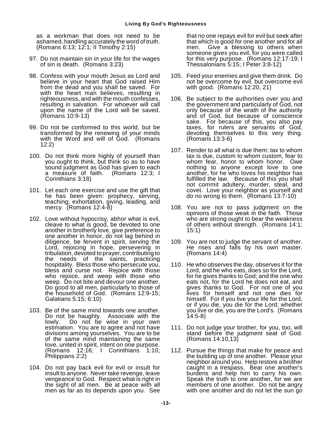as a workman that does not need to be ashamed, handling accurately the word of truth. (Romans 6:13; 12:1; II Timothy 2:15)

- 97. Do not maintain sin in your life for the wages of sin is death. (Romans 3:23)
- 98. Confess with your mouth Jesus as Lord and believe in your heart that God raised Him from the dead and you shall be saved. For with the heart man believes, resulting in righteousness, and with the mouth confesses, resulting in salvation. For whoever will call upon the name of the Lord will be saved. (Romans 10:9-13)
- 99. Do not be conformed to this world, but be transformed by the renewing of your minds with the Word and will of God. (Romans 12:2)
- 100. Do not think more highly of yourself than you ought to think, but think so as to have sound judgment as God has given to each<br>a measure of faith. (Romans 12:3; I a measure of faith. Corinthians 3:18)
- 101. Let each one exercise and use the gift that he has been given: prophecy, serving, teaching, exhortation, giving, leading, and mercy. (Romans 12:4-8)
- 102. Love without hypocrisy, abhor what is evil, cleave to what is good, be devoted to one another in brotherly love, give preference to one another in honor, do not lag behind in diligence, be fervent in spirit, serving the Lord, rejoicing in hope, persevering in tribulation, devoted to prayer, contributing to the needs of the saints, practicing hospitality. Bless those who persecute you, bless and curse not. Rejoice with those who rejoice, and weep with those who weep. Do not bite and devour one another. Do good to all men, particularly to those of the household of God. (Romans 12:9-15; Galatians 5:15; 6:10)
- 103. Be of the same mind towards one another. Do not be haughty. Associate with the<br>lowly. Do not be wise in your own Do not be wise in your own estimation. You are to agree and not have divisions among yourselves. You are to be of the same mind maintaining the same love, united in spirit, intent on one purpose. (Romans 12:16; I Corinthians 1:10; Philippians 2:2)
- 104. Do not pay back evil for evil or insult for insult to anyone. Never take revenge, leave vengeance to God. Respect what is right in the sight of all men. Be at peace with all men as far as its depends upon you. See

that no one repays evil for evil but seek after that which is good for one another and for all men. Give a blessing to others when someone gives you evil, for you were called for this very purpose. (Romans 12:17-19; I Thessalonians 5:15; I Peter 3:8-12)

- 105. Feed your enemies and give them drink. Do not be overcome by evil, but overcome evil with good. (Romans 12:20, 21)
- 106. Be subject to the authorities over you and the government and particularly of God, not only because of the wrath of the authority and of God, but because of conscience sake. For because of this, you also pay taxes, for rulers are servants of God, devoting themselves to this very thing. (Romans 13:3-6)
- 107. Render to all what is due them: tax to whom tax is due, custom to whom custom, fear to whom fear, honor to whom honor. Owe nothing to anyone except love to one another, for he who loves his neighbor has fulfilled the law. Because of this you shall not commit adultery, murder, steal, and covet. Love your neighbor as yourself and do no wrong to them. (Romans 13:7-10)
- 108. You are not to pass judgment on the opinions of those weak in the faith. Those who are strong ought to bear the weakness of others without strength. (Romans 14:1; 15:1)
- 109. You are not to judge the servant of another. He rises and falls by his own master. (Romans 14:4)
- 110. He who observes the day, observes it for the Lord, and he who eats, does so for the Lord, for he gives thanks to God; and the one who eats not, for the Lord he does not eat, and gives thanks to God. For not one of you lives for himself and not one dies for himself. For if you live your life for the Lord, or if you die, you die for the Lord; whether you live or die, you are the Lord's. (Romans 14:5-8)
- 111. Do not judge your brother, for you, too, will stand before the judgment seat of God. (Romans 14:10,13)
- 112. Pursue the things that make for peace and the building up of one another. Please your neighbor around you. Help restore a brother caught in a trespass. Bear one another's burdens and help him to carry his own. Speak the truth to one another, for we are members of one another. Do not be angry with one another and do not let the sun go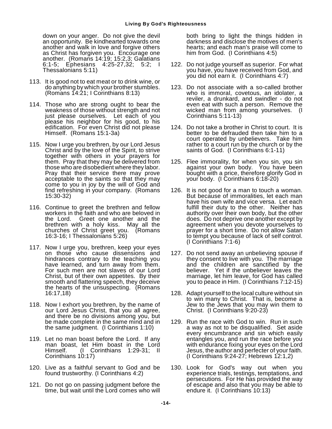down on your anger. Do not give the devil an opportunity. Be kindhearted towards one another and walk in love and forgive others as Christ has forgiven you. Encourage one another. (Romans 14:19; 15:2,3; Galatians 6:1-5; Ephesians 4:25-27,32; 5:2; I Thessalonians 5:11)

- 113. It is good not to eat meat or to drink wine, or do anything by which your brother stumbles. (Romans 14:21; I Corinthians 8:13)
- 114. Those who are strong ought to bear the weakness of those without strength and not just please ourselves. Let each of you please his neighbor for his good, to his edification. For even Christ did not please Himself. (Romans 15:1-3a)
- 115. Now I urge you brethren, by our Lord Jesus Christ and by the love of the Spirit, to strive together with others in your prayers for them. Pray that they may be delivered from those who are disobedient where they labor. Pray that their service there may prove acceptable to the saints so that they may come to you in joy by the will of God and find refreshing in your company. (Romans 15:30-32)
- 116. Continue to greet the brethren and fellow workers in the faith and who are beloved in<br>the Lord. Greet one another and the Greet one another and the<br>th a holy kiss. May all the brethren with a holy kiss. churches of Christ greet you. (Romans 16:3-16; I Thessalonians 5:26)
- 117. Now I urge you, brethren, keep your eyes on those who cause dissensions and hindrances contrary to the teaching you have learned, and turn away from them. For such men are not slaves of our Lord Christ, but of their own appetites. By their smooth and flattering speech, they deceive the hearts of the unsuspecting. (Romans 16:17,18)
- 118. Now I exhort you brethren, by the name of our Lord Jesus Christ, that you all agree, and there be no divisions among you, but be made complete in the same mind and in the same judgment. (I Corinthians 1:10)
- 119. Let no man boast before the Lord. If any man boast, let Him boast in the Lord Himself. (I Corinthians 1:29-31; II Corinthians 10:17)
- 120. Live as a faithful servant to God and be found trustworthy. (I Corinthians 4:2)
- 121. Do not go on passing judgment before the time, but wait until the Lord comes who will

both bring to light the things hidden in darkness and disclose the motives of men's hearts; and each man's praise will come to him from God. (I Corinthians 4:5)

- 122. Do not judge yourself as superior. For what you have, you have received from God, and you did not earn it. (I Corinthians 4:7)
- 123. Do not associate with a so-called brother who is immoral, covetous, an idolater, a reviler, a drunkard, and swindler - do not even eat with such a person. Remove the wicked man from among yourselves. (I Corinthians 5:11-13)
- 124. Do not take a brother in Christ to court. It is better to be defrauded then take him to a court operated by unbelievers. Take him rather to a court run by the church or by the saints of God. (I Corinthians 6:1-11)
- 125. Flee immorality, for when you sin, you sin against your own body. You have been bought with a price, therefore glorify God in your body. (I Corinthians 6:18-20)
- 126. It is not good for a man to touch a woman. But because of immoralities, let each man have his own wife and vice versa. Let each fulfill their duty to the other. Neither has authority over their own body, but the other does. Do not deprive one another except by agreement when you devote yourselves to prayer for a short time. Do not allow Satan to tempt you because of lack of self control. (I Corinthians 7:1-6)
- 127. Do not send away an unbelieving spouse if they consent to live with you. The marriage and the children are sanctified by the believer. Yet if the unbeliever leaves the marriage, let him leave, for God has called you to peace in Him. (I Corinthians 7:12-15)
- 128. Adapt yourself to the local culture without sin to win many to Christ. That is, become a Jew to the Jews that you may win them to Christ. (I Corinthians 9:20-23)
- 129. Run the race with God to win. Run in such a way as not to be disqualified. Set aside every encumbrance and sin which easily entangles you, and run the race before you with endurance fixing your eyes on the Lord Jesus, the author and perfecter of your faith. (I Corinthians 9:24-27; Hebrews 12:1,2)
- 130. Look for God's way out when you experience trials, testings, temptations, and persecutions. For He has provided the way of escape and also that you may be able to endure it. (I Corinthians 10:13)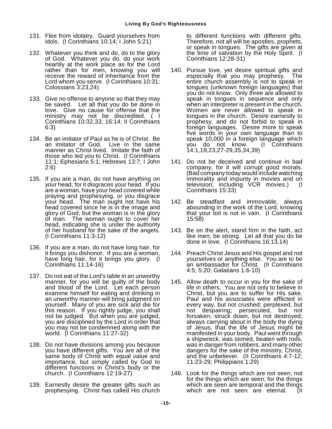- 131. Flee from idolatry. Guard yourselves from idols. (I Corinthians 10:14; I John 5:21)
- 132. Whatever you think and do, do to the glory of God. Whatever you do, do your work heartily at the work place as for the Lord rather than for men, knowing you will receive the reward of inheritance from the Lord whom you serve. (I Corinthians 10:31; Colossians 3:23,24)
- 133. Give no offense to anyone so that they may be saved. Let all that you do be done in love. Give no cause for offense that the ministry may not be discredited. ( I Corinthians 10:32,33; 16:14; II Corinthians 6:3)
- 134. Be an imitator of Paul as he is of Christ. Be an imitator of God. Live in the same manner as Christ lived. Imitate the faith of those who led you to Christ. (I Corinthians 11:1; Ephesians 5:1; Hebrews 13:7; I John 2:6)
- 135. If you are a man, do not have anything on your head, for it disgraces your head. If you are a woman, have your head covered while praying and prophesying, or you disgrace your head. The man ought not have his head covered since he is in the image and glory of God, but the woman is in the glory of man. The woman ought to cover her head, indicating she is under the authority of her husband for the sake of the angels. (I Corinthians 11:3-12)
- 136. If you are a man, do not have long hair, for it brings you dishonor. If you are a woman, have long hair, for it brings you glory. (I Corinthians 11:14-16)
- 137. Do not eat of the Lord's table in an unworthy manner, for you will be guilty of the body and blood of the Lord. Let each person examine himself for eating and drinking in an unworthy manner will bring judgment on yourself. Many of you are sick and die for this reason. If you rightly judge, you shall not be judged. But when you are judged, you are disciplined by the Lord in order that you may not be condemned along with the world. (I Corinthians 11:27-32)
- 138. Do not have divisions among you because you have different gifts. You are all of the same body of Christ with equal value and importance, but simply called by God to different functions in Christ's body or the church. (I Corinthians 12:19-27)
- 139. Earnestly desire the greater gifts such as prophesying. Christ has called His church

to different functions with different gifts. Therefore, not all will be apostles, prophets, or speak in tongues. The gifts are given at the time of salvation by the Holy Spirit. (I Corinthians 12:28-31)

- 140. Pursue love, yet desire spiritual gifts and especially that you may prophesy. entire church assembly is not to speak in tongues (unknown foreign languages) that you do not know. Only three are allowed to speak in tongues in sequence and only when an interpreter is present in the church. Women are never allowed to speak in tongues in the church. Desire earnestly to prophesy, and do not forbid to speak in foreign languages. Desire more to speak five words in your own language than to speak 10,000 in a foreign language which<br>you do not know. (I Corinthians you do not know. 14:1,19,23,27-29,35,34,39)
- 141. Do not be deceived and continue in bad company, for it will corrupt good morals. (Bad company today would include watching immorality and impurity in movies and on television; including VCR movies.) (I Corinthians 15:33)
- 142. Be steadfast and immovable, always abounding in the work of the Lord, knowing that your toil is not in vain. (I Corinthians 15:58)
- 143. Be on the alert, stand firm in the faith, act like men, be strong. Let all that you do be done in love. (I Corinthians 16:13,14)
- 144. Preach Christ Jesus and His gospel and not yourselves or anything else. You are to be an ambassador for Christ. (II Corinthians 4:5; 5:20; Galatians 1:6-10)
- 145. Allow death to occur in you for the sake of life in others. You are not only to believe in Christ, but you are to suffer for His sake. Paul and his associates were afflicted in every way, but not crushed; perplexed, but not despairing; persecuted, but not forsaken; struck down, but not destroyed; always carrying about in the body the dying of Jesus, that the life of Jesus might be manifested in your body. Paul went through a shipwreck, was stoned, beaten with rods, was in danger from robbers, and many other dangers for the sake of the ministry, Christ, and the unbeliever. (II Corinthians 4:7-12; 11:23-29; Philippians 1:29)
- 146. Look for the things which are not seen, not for the things which are seen; for the things which are seen are temporal and the things which are not seen are eternal. (II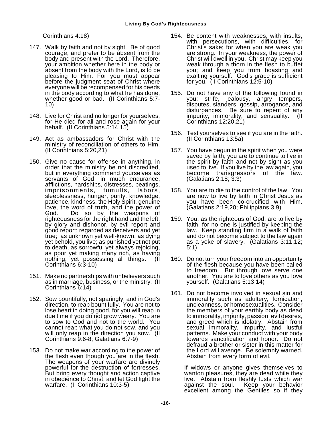Corinthians 4:18)

- 147. Walk by faith and not by sight. Be of good courage, and prefer to be absent from the body and present with the Lord. Therefore, your ambition whether here in the body or absent from the body with the Lord, is to be pleasing to Him. For you must appear before the judgment seat of Christ where everyone will be recompensed for his deeds in the body according to what he has done, whether good or bad. (II Corinthians 5:7- 10)
- 148. Live for Christ and no longer for yourselves, for He died for all and rose again for your behalf. (II Corinthians 5:14,15)
- 149. Act as ambassadors for Christ with the ministry of reconciliation of others to Him. (II Corinthians 5:20,21)
- 150. Give no cause for offense in anything, in order that the ministry be not discredited, but in everything commend yourselves as servants of God, in much endurance, afflictions, hardships, distresses, beatings, imprisonments, sleeplessness, hunger, purity, knowledge, patience, kindness, the Holy Spirit, genuine love, the word of truth, and the power of God. Do so by the weapons of righteousness for the right hand and the left, by glory and dishonor, by evil report and good report; regarded as deceivers and yet true; as unknown yet well-known, as dying yet behold, you live; as punished yet not put to death, as sorrowful yet always rejoicing, as poor yet making many rich, as having nothing, yet possessing all things. Corinthians 6:3-10)
- 151. Make no partnerships with unbelievers such as in marriage, business, or the ministry. (II Corinthians 6:14)
- 152. Sow bountifully, not sparingly, and in God's direction, to reap bountifully. You are not to lose heart in doing good, for you will reap in due time if you do not grow weary. You are to sow to God and not to the world. You cannot reap what you do not sow, and you will only reap in the direction you sow. (II Corinthians 9:6-8; Galatians 6:7-9)
- 153. Do not make war according to the power of the flesh even though you are in the flesh. The weapons of your warfare are divinely powerful for the destruction of fortresses. But bring every thought and action captive in obedience to Christ, and let God fight the warfare. (II Corinthians 10:3-5)
- 154. Be content with weaknesses, with insults, with persecutions, with difficulties, for Christ's sake; for when you are weak you are strong. In your weakness, the power of Christ will dwell in you. Christ may keep you weak through a thorn in the flesh to buffet you; and keep you from boasting and exalting yourself. God's grace is sufficient for you. (II Corinthians 12:5-10)
- 155. Do not have any of the following found in you: strife, jealousy, angry tempers, disputes, slanders, gossip, arrogance, and disturbances. Be sure to repent of any impurity, immorality, and sensuality. Corinthians 12:20,21)
- 156. Test yourselves to see if you are in the faith. (II Corinthians 13:5a)
- 157. You have begun in the spirit when you were saved by faith; you are to continue to live in the spirit by faith and not by sight as you used to live. If you live by the law again, you become transgressors of the law. (Galatians 2:18; 3:3)
- 158. You are to die to the control of the law. You are now to live by faith in Christ Jesus as you have been co-crucified with Him. (Galatians 2:19,20; Philippians 3:9)
- 159. You, as the righteous of God, are to live by faith, for no one is justified by keeping the law. Keep standing firm in a walk of faith and do not become subject to the law again as a yoke of slavery. (Galatians 3:11,12; 5:1)
- 160. Do not turn your freedom into an opportunity of the flesh because you have been called to freedom. But through love serve one another. You are to love others as you love yourself. (Galatians 5:13,14)
- 161. Do not become involved in sexual sin and immorality such as adultery, fornication, uncleanness, or homosexualities. Consider the members of your earthly body as dead to immorality, impurity, passion, evil desires, and greed which is idolatry. Abstain from sexual immorality, impurity, and lustful patterns. Make your conduct with your body towards sanctification and honor. Do not defraud a brother or sister in this matter for the Lord will avenge. Be solemnly warned. Abstain from every form of evil.

If widows or anyone gives themselves to wanton pleasures, they are dead while they live. Abstain from fleshly lusts which war against the soul. Keep your behavior excellent among the Gentiles so if they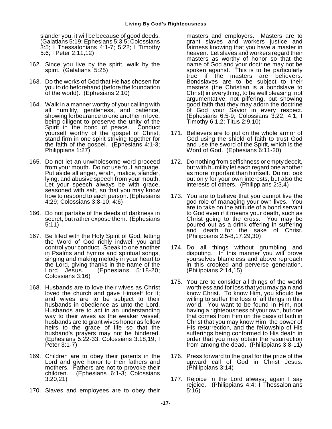slander you, it will be because of good deeds. (Galatians 5:19; Ephesians 5:3,5; Colossians 3:5; I Thessalonians 4:1-7; 5:22; I Timothy 5:6; I Peter 2:11,12)

- 162. Since you live by the spirit, walk by the spirit. (Galatians 5:25)
- 163. Do the works of God that He has chosen for you to do beforehand (before the foundation of the world). (Ephesians 2:10)
- 164. Walk in a manner worthy of your calling with all humility, gentleness, and patience, showing forbearance to one another in love, being diligent to preserve the unity of the Spirit in the bond of peace. Conduct yourself worthy of the gospel of Christ; stand firm in one spirit striving together for the faith of the gospel. (Ephesians 4:1-3; Philippians 1:27)
- 165. Do not let an unwholesome word proceed from your mouth. Do not use foul language. Put aside all anger, wrath, malice, slander, lying, and abusive speech from your mouth. Let your speech always be with grace, seasoned with salt, so that you may know how to respond to each person. (Ephesians 4:29; Colossians 3:8-10; 4:6)
- 166. Do not partake of the deeds of darkness in secret, but rather expose them. (Ephesians 5:11)
- 167. Be filled with the Holy Spirit of God, letting the Word of God richly indwell you and control your conduct. Speak to one another in Psalms and hymns and spiritual songs, singing and making melody in your heart to the Lord, giving thanks in the name of the<br>Lord Jesus. (Ephesians 5:18-20; Lord Jesus. (Ephesians 5:18-20; Colossians 3:16)
- 168. Husbands are to love their wives as Christ loved the church and gave Himself for it; and wives are to be subject to their husbands in obedience as unto the Lord. Husbands are to act in an understanding way to their wives as the weaker vessel; husbands are to grant wives honor as fellow heirs to the grace of life so that the husband's prayers may not be hindered. (Ephesians 5:22-33; Colossians 3:18,19; I Peter 3:1-7)
- 169. Children are to obey their parents in the Lord and give honor to their fathers and mothers. Fathers are not to provoke their children. (Ephesians 6:1-3; Colossians 3:20,21)
- 170. Slaves and employees are to obey their

masters and employers. Masters are to grant slaves and workers justice and fairness knowing that you have a master in heaven. Let slaves and workers regard their masters as worthy of honor so that the name of God and your doctrine may not be spoken against. This is to be particularly true if the masters are believers. Bondslaves are to be subject to their masters (the Christian is a bondslave to Christ) in everything, to be well pleasing, not argumentative, not pilfering, but showing good faith that they may adorn the doctrine of God your Savior in every respect. (Ephesians 6:5-9; Colossians 3:22; 4:1; I Timothy 6:1,2; Titus 2:9,10)

- 171. Believers are to put on the whole armor of God using the shield of faith to trust God and use the sword of the Spirit, which is the Word of God. (Ephesians 6:11-20)
- 172. Do nothing from selfishness or empty deceit, but with humility let each regard one another as more important than himself. Do not look out only for your own interests, but also the interests of others. (Philippians 2:3,4)
- 173. You are to believe that you cannot live the god role of managing your own lives. You are to take on the attitude of a bond servant to God even if it means your death, such as Christ going to the cross. You may be poured out as a drink offering in suffering and death for the sake of Christ. (Philippians 2:5-8,17,29,30)
- 174. Do all things without grumbling and disputing. In this manner you will prove yourselves blameless and above reproach in this crooked and perverse generation. (Philippians 2:14,15)
- 175. You are to consider all things of the world worthless and for loss that you may gain and know Christ. To know Him, you should be willing to suffer the loss of all things in this world. You want to be found in Him, not having a righteousness of your own, but one that comes from Him on the basis of faith in Christ that you may know Him, the power of His resurrection, and the fellowship of His sufferings being conformed to His death in order that you may obtain the resurrection from among the dead. (Philippians 3:8-11)
- 176. Press forward to the goal for the prize of the upward call of God in Christ Jesus. (Philippians 3:14)
- 177. Rejoice in the Lord always; again I say rejoice. (Philippians 4:4; I Thessalonians 5:16)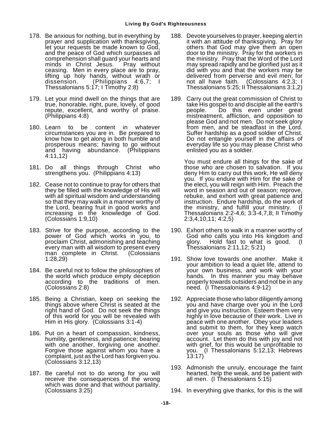- 178. Be anxious for nothing, but in everything by prayer and supplication with thanksgiving, let your requests be made known to God, and the peace of God which surpasses all comprehension shall guard your hearts and<br>minds in Christ Jesus. Pray without minds in Christ Jesus. ceasing. Men in every place are to pray, lifting up holy hands, without wrath or dissension. (Philippians 4:6,7; I Thessalonians 5:17; I Timothy 2:8)
- 179. Let your mind dwell on the things that are true, honorable, right, pure, lovely, of good repute, excellent, and worthy of praise. (Philippians 4:8)
- 180. Learn to be content in whatever circumstances you are in. Be prepared to know how to get along in both humble and prosperous means; having to go without and having abundance. (Philippians 4:11,12)
- 181. Do all things through Christ who strengthens you. (Philippians 4:13)
- 182. Cease not to continue to pray for others that they be filled with the knowledge of His will with all spiritual wisdom and understanding so that they may walk in a manner worthy of the Lord, bearing fruit in good works and increasing in the knowledge of God. (Colossians 1:9,10)
- 183. Strive for the purpose, according to the power of God which works in you, to proclaim Christ, admonishing and teaching every man with all wisdom to present every<br>man complete in Christ. (Colossians man complete in Christ. 1:28,29)
- 184. Be careful not to follow the philosophies of the world which produce empty deception according to the traditions of men. (Colossians 2:8)
- 185. Being a Christian, keep on seeking the things above where Christ is seated at the right hand of God. Do not seek the things of this world for you will be revealed with Him in His glory. (Colossians 3:1-4)
- 186. Put on a heart of compassion, kindness, humility, gentleness, and patience; bearing with one another, forgiving one another. Forgive those against whom you have a complaint, just as the Lord has forgiven you. (Colossians 3:12,13)
- 187. Be careful not to do wrong for you will receive the consequences of the wrong which was done and that without partiality. (Colossians 3:25)
- 188. Devote yourselves to prayer, keeping alert in it with an attitude of thanksgiving. Pray for others that God may give them an open door to the ministry. Pray for the workers in the ministry. Pray that the Word of the Lord may spread rapidly and be glorified just as it did with you and that the workers may be delivered from perverse and evil men; for not all have faith. (Colossians 4:2,3; I  $(Colossians 4:2,3; 1)$ Thessalonians 5:25; II Thessalonians  $3:1,2$ )
- 189. Carry out the great commission of Christ to take His gospel to and disciple all the earth's Do this even under great mistreatment, affliction, and opposition to please God and not men. Do not seek glory from men, and be steadfast in the Lord. Suffer hardship as a good soldier of Christ. Do not entangle yourself in the affairs of everyday life so you may please Christ who enlisted you as a soldier.

You must endure all things for the sake of those who are chosen to salvation. If you deny Him to carry out this work, He will deny you. If you endure with Him for the sake of the elect, you will reign with Him. Preach the word in season and out of season; reprove, rebuke, and exhort with great patience and instruction. Endure hardship, do the work of the ministry, and fulfill your ministry. Thessalonians 2:2-4,6; 3:3-4,7,8; II Timothy 2:3,4,10,11; 4:2,5)

- 190. Exhort others to walk in a manner worthy of God who calls you into His kingdom and glory. Hold fast to what is good. (I Thessalonians 2:11,12; 5:21)
- 191. Show love towards one another. Make it your ambition to lead a quiet life, attend to your own business, and work with your hands. In this manner you may behave properly towards outsiders and not be in any need. (I Thessalonians 4:9-12)
- 192. Appreciate those who labor diligently among you and have charge over you in the Lord and give you instruction. Esteem them very highly in love because of their work. Live in peace with one another. Obey your leaders and submit to them, for they keep watch over your souls as those who will give account. Let them do this with joy and not with grief, for this would be unprofitable to you. (I Thessalonians 5:12,13; Hebrews 13:17)
- 193. Admonish the unruly, encourage the faint hearted, help the weak, and be patient with all men. (I Thessalonians 5:15)
- 194. In everything give thanks, for this is the will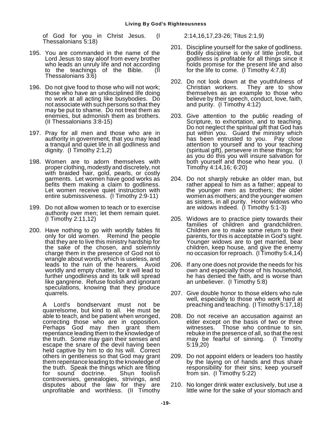of God for you in Christ Jesus. (I Thessalonians 5:18)

- 195. You are commanded in the name of the Lord Jesus to stay aloof from every brother who leads an unruly life and not according to the teachings of the Bible. Thessalonians 3:6)
- 196. Do not give food to those who will not work; those who have an undisciplined life doing no work at all acting like busybodies. Do not associate with such persons so that they may be put to shame. Do not treat them as enemies, but admonish them as brothers. (II Thessalonians 3:8-15)
- 197. Pray for all men and those who are in authority in government, that you may lead a tranquil and quiet life in all godliness and dignity. (I Timothy 2:1,2)
- 198. Women are to adorn themselves with proper clothing, modestly and discretely, not with braided hair, gold, pearls, or costly garments. Let women have good works as befits them making a claim to godliness. Let women receive quiet instruction with entire submissiveness. (I Timothy 2:9-11)
- 199. Do not allow women to teach or to exercise authority over men; let them remain quiet. (I Timothy 2:11,12)
- 200. Have nothing to go with worldly fables fit only for old women. Remind the people that they are to live this ministry hardship for the sake of the chosen, and solemnly charge them in the presence of God not to wrangle about words, which is useless, and leads to the ruin of the hearers. Avoid worldly and empty chatter, for it will lead to further ungodliness and its talk will spread like gangrene. Refuse foolish and ignorant speculations, knowing that they produce quarrels.

A Lord's bondservant must not be quarrelsome, but kind to all. He must be able to teach, and be patient when wronged, correcting those who are in opposition. Perhaps God may then grant them repentance leading them to the knowledge of the truth. Some may gain their senses and escape the snare of the devil having been held captive by him to do his will. Correct others in gentleness so that God may grant them repentance leading to the knowledge of the truth. Speak the things which are fitting<br>for sound doctrine. Shun foolish for sound doctrine. controversies, genealogies, strivings, and disputes about the law for they are unprofitable and worthless. (II Timothy

2:14,16,17,23-26; Titus 2:1,9)

- 201. Discipline yourself for the sake of godliness. Bodily discipline is only of little profit, but godliness is profitable for all things since it holds promise for the present life and also for the life to come. (I Timothy 4:7,8)
- 202. Do not look down at the youthfulness of<br>Christian workers. They are to show They are to show themselves as an example to those who believe by their speech, conduct, love, faith, and purity. (I Timothy 4:12)
- 203. Give attention to the public reading of Scripture, to exhortation, and to teaching. Do not neglect the spiritual gift that God has put within you. Guard the ministry which has been entrusted to you. Pay close attention to yourself and to your teaching (spiritual gift), persevere in these things; for as you do this you will insure salvation for both yourself and those who hear you. (I Timothy 4:14,16; 6:20)
- 204. Do not sharply rebuke an older man, but rather appeal to him as a father; appeal to the younger men as brothers; the older women as mothers; and the younger women as sisters, in all purity. Honor widows who are widows indeed. (I Timothy 5:1-3)
- 205. Widows are to practice piety towards their families of children and grandchildren. Children are to make some return to their parents, for this is acceptable in God's sight. Younger widows are to get married, bear children, keep house, and give the enemy no occasion for reproach. (I Timothy 5:4,14)
- 206. If any one does not provide the needs for his own and especially those of his household, he has denied the faith, and is worse than an unbeliever. (I Timothy 5:8)
- 207. Give double honor to those elders who rule well, especially to those who work hard at preaching and teaching. (I Timothy 5:17,18)
- 208. Do not receive an accusation against an elder except on the basis of two or three witnesses. Those who continue to sin, Those who continue to sin, rebuke in the presence of all, so that the rest<br>may be fearful of sinning. (I Timothy may be fearful of sinning. 5:19,20)
- 209. Do not appoint elders or leaders too hastily by the laying on of hands and thus share responsibility for their sins; keep yourself from sin. (I Timothy 5:22)
- 210. No longer drink water exclusively, but use a little wine for the sake of your stomach and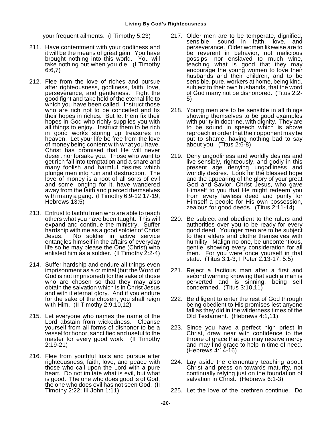your frequent ailments. (I Timothy 5:23)

- 211. Have contentment with your godliness and it will be the means of great gain. You have brought nothing into this world. You will take nothing out when you die. (I Timothy 6:6,7)
- 212. Flee from the love of riches and pursue after righteousness, godliness, faith, love, perseverance, and gentleness. Fight the good fight and take hold of the eternal life to which you have been called. Instruct those who are rich not to be conceited and fix their hopes in riches. But let them fix their hopes in God who richly supplies you with all things to enjoy. Instruct them to be rich in good works storing up treasures in heaven. Let your life be free from the love of money being content with what you have. Christ has promised that He will never desert nor forsake you. Those who want to get rich fall into temptation and a snare and many foolish and harmful desires which plunge men into ruin and destruction. The love of money is a root of all sorts of evil and some longing for it, have wandered away from the faith and pierced themselves with many a pang. (I Timothy 6:9-12,17-19; Hebrews 13:5)
- 213. Entrust to faithful men who are able to teach others what you have been taught. This will expand and continue the ministry. Suffer hardship with me as a good soldier of Christ Jesus. No soldier in active service entangles himself in the affairs of everyday life so he may please the One (Christ) who enlisted him as a soldier. (II Timothy 2:2-4)
- 214. Suffer hardship and endure all things even imprisonment as a criminal (but the Word of God is not imprisoned) for the sake of those who are chosen so that they may also obtain the salvation which is in Christ Jesus and with it eternal glory. And if you endure for the sake of the chosen, you shall reign with Him. (II Timothy 2:9,10,12)
- 215. Let everyone who names the name of the Lord abstain from wickedness. Cleanse yourself from all forms of dishonor to be a vessel for honor, sanctified and useful to the master for every good work. (II Timothy 2:19-21)
- 216. Flee from youthful lusts and pursue after righteousness, faith, love, and peace with those who call upon the Lord with a pure heart. Do not imitate what is evil, but what is good. The one who does good is of God; the one who does evil has not seen God. (II Timothy 2:22; III John 1:11)
- 217. Older men are to be temperate, dignified, sensible, sound in faith, love, and perseverance. Older women likewise are to be reverent in behavior, not malicious gossips, nor enslaved to much wine, teaching what is good that they may encourage the young women to love their husbands and their children, and to be sensible, pure, workers at home, being kind, subject to their own husbands, that the word of God many not be dishonored. (Titus 2:2- 5)
- 218. Young men are to be sensible in all things showing themselves to be good examples with purity in doctrine, with dignity. They are to be sound in speech which is above reproach in order that their opponent may be put to shame, having nothing bad to say about you. (Titus 2:6-8)
- 219. Deny ungodliness and worldly desires and live sensibly, righteously, and godly in this present age denying ungodliness and worldly desires. Look for the blessed hope and the appearing of the glory of your great God and Savior, Christ Jesus, who gave Himself to you that He might redeem you from every lawless deed and purify for Himself a people for His own possession, zealous for good deeds. (Titus 2:11-14)
- 220. Be subject and obedient to the rulers and authorities over you to be ready for every good deed. Younger men are to be subject to their elders and clothe themselves with humility. Malign no one, be uncontentious, gentle, showing every consideration for all men. For you were once yourself in that state. (Titus 3:1-3; I Peter 2:13-17; 5:5)
- 221. Reject a factious man after a first and second warning knowing that such a man is perverted and is sinning, being self condemned. (Titus 3:10,11)
- 222. Be diligent to enter the rest of God through being obedient to His promises lest anyone fall as they did in the wilderness times of the Old Testament. (Hebrews 4:1,11)
- 223. Since you have a perfect high priest in Christ, draw near with confidence to the throne of grace that you may receive mercy and may find grace to help in time of need. (Hebrews 4:14-16)
- 224. Lay aside the elementary teaching about Christ and press on towards maturity, not continually relying just on the foundation of salvation in Christ. (Hebrews 6:1-3)
- 225. Let the love of the brethren continue. Do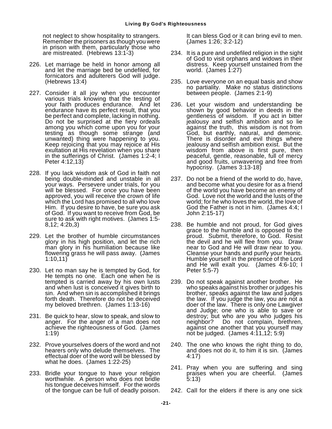not neglect to show hospitality to strangers. Remember the prisoners as though you were in prison with them, particularly those who are mistreated. (Hebrews 13:1-3)

- 226. Let marriage be held in honor among all and let the marriage bed be undefiled, for fornicators and adulterers God will judge. (Hebrews 13:4)
- 227. Consider it all joy when you encounter various trials knowing that the testing of your faith produces endurance. And let endurance have its perfect result, that you be perfect and complete, lacking in nothing. Do not be surprised at the fiery ordeals among you which come upon you for your testing as though some strange (and unwanted) thing were happening to you. Keep rejoicing that you may rejoice at His exultation at His revelation when you share in the sufferings of Christ. (James 1:2-4; I Peter 4:12,13)
- 228. If you lack wisdom ask of God in faith not being double-minded and unstable in all your ways. Persevere under trials, for you will be blessed. For once you have been approved, you will receive the crown of life which the Lord has promised to all who love Him. If you desire to have, be sure you ask of God. If you want to receive from God, be sure to ask with right motives. (James 1:5- 8,12; 4:2b,3)
- 229. Let the brother of humble circumstances glory in his high position, and let the rich man glory in his humiliation because like flowering grass he will pass away. (James 1:10,11)
- 230. Let no man say he is tempted by God, for He tempts no one. Each one when he is tempted is carried away by his own lusts and when lust is conceived it gives birth to sin. And when sin is accomplished it brings forth death. Therefore do not be deceived my beloved brethren. (James 1:13-16)
- 231. Be quick to hear, slow to speak, and slow to anger. For the anger of a man does not achieve the righteousness of God. (James 1:19)
- 232. Prove yourselves doers of the word and not hearers only who delude themselves. The effectual doer of the word will be blessed by what he does. (James 1:22-25)
- 233. Bridle your tongue to have your religion worthwhile. A person who does not bridle his tongue deceives himself. For the words of the tongue can be full of deadly poison.

It can bless God or it can bring evil to men. (James 1:26; 3:2-12)

- 234. It is a pure and undefiled religion in the sight of God to visit orphans and widows in their distress. Keep yourself unstained from the world. (James 1:27)
- 235. Love everyone on an equal basis and show no partiality. Make no status distinctions between people. (James 2:1-9)
- 236. Let your wisdom and understanding be shown by good behavior in deeds in the gentleness of wisdom. If you act in bitter jealousy and selfish ambition and so lie against the truth, this wisdom is not from God, but earthly, natural, and demonic. There is disorder and evil things where jealousy and selfish ambition exist. But the wisdom from above is first pure, then peaceful, gentle, reasonable, full of mercy and good fruits, unwavering and free from hypocrisy. (James 3:13-18)
- 237. Do not be a friend of the world to do, have, and become what you desire for as a friend of the world you have become an enemy of God. Love not the world and the lusts of the world; for he who loves the world, the love of God the Father is not in him. (James 4:4; I John 2:15-17)
- 238. Be humble and not proud, for God gives grace to the humble and is opposed to the proud. Submit, therefore, to God. Resist the devil and he will flee from you. Draw near to God and He will draw near to you. Cleanse your hands and purify your hearts. Humble yourself in the presence of the Lord and He will exalt you. (James 4:6-10; I Peter 5:5-7)
- 239. Do not speak against another brother. He who speaks against his brother or judges his brother, speaks against the law and judges the law. If you judge the law, you are not a doer of the law. There is only one Lawgiver and Judge; one who is able to save or destroy; but who are you who judges his neighbor? Do not complain, brethren, Do not complain, brethren, against one another that you yourself may not be judged. (James 4:11,12; 5:9)
- 240. The one who knows the right thing to do, and does not do it, to him it is sin. (James 4:17)
- 241. Pray when you are suffering and sing praises when you are cheerful. (James 5:13)
- 242. Call for the elders if there is any one sick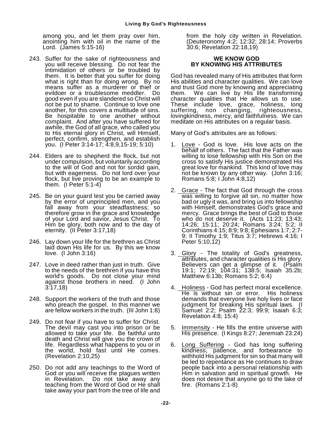among you, and let them pray over him, anointing him with oil in the name of the Lord. (James 5:15-16)

- 243. Suffer for the sake of righteousness and you will receive blessing. Do not fear the intimidation of others or be troubled by them. It is better that you suffer for doing what is right than for doing wrong. By no means suffer as a murderer or thief or evildoer or a troublesome meddler. Do good even if you are slandered so Christ will not be put to shame. Continue to love one another, for this covers a multitude of sins. Be hospitable to one another without complaint. And after you have suffered for awhile, the God of all grace, who called you to His eternal glory in Christ, will Himself, perfect, confirm, strengthen, and establish you. (I Peter 3:14-17; 4:8,9,15-19; 5:10)
- 244. Elders are to shepherd the flock, but not under compulsion, but voluntarily according to the will of God and not for sordid gain, but with eagerness. Do not lord over your flock, but live proving to be an example to them. (I Peter 5:1-4)
- 245. Be on your guard lest you be carried away by the error of unprincipled men, and you fall away from your steadfastness; so therefore grow in the grace and knowledge of your Lord and savior, Jesus Christ. To Him be glory, both now and to the day of eternity. (II Peter 3:17,18)
- 246. Lay down your life for the brethren as Christ laid down His life for us. By this we know love. (I John 3:16)
- 247. Love in deed rather than just in truth. Give to the needs of the brethren if you have this world's goods. Do not close your mind against those brothers in need. (I John 3:17,18)
- 248. Support the workers of the truth and those who preach the gospel. In this manner we are fellow workers in the truth. (III John 1:8)
- 249. Do not fear if you have to suffer for Christ. The devil may cast you into prison or be allowed to take your life. Be faithful unto death and Christ will give you the crown of life. Regardless what happens to you or in the world, hold fast until He comes. (Revelation 2:10,25)
- 250. Do not add any teachings to the Word of God or you will receive the plagues written<br>in Revelation. Do not take away any Do not take away any teaching from the Word of God or He shall take away your part from the tree of life and

from the holy city written in Revelation. (Deuteronomy 4:2; 12:32; 28:14; Proverbs 30:6; Revelation 22:18,19)

# **WE KNOW GOD BY KNOWING HIS ATTRIBUTES**

God has revealed many of His attributes that form His abilities and character qualities. We can love and trust God more by knowing and appreciating them. We can live by His life transforming character qualities that He allows us to use. These include love, grace, holiness, long<br>suffering, non changing, righteousness, righteousness, lovingkindness, mercy, and faithfulness. We can meditate on His attributes on a regular basis.

Many of God's attributes are as follows:

- 1. Love God is love. His love acts on the behalf of others. The fact that the Father was willing to lose fellowship with His Son on the cross to satisfy His justice demonstrated His great love for mankind. This kind of love may not be known by any other way. (John 3:16; Romans 5:8; I John 4:8,12)
- 2. Grace The fact that God through the cross was willing to forgive all sin, no matter how bad or ugly it was, and bring us into fellowship with Himself, demonstrates God's grace and mercy. Grace brings the best of God to those who do not deserve it. (Acts 11:23; 13:43; 14:26; 15:11; 20:24; Romans 3:24; 5:2; II Corinthians 4:15; 8:9; 9:8; Ephesians 1:7; 2:7- 9; II Timothy 1:9; Titus 3:7; Hebrews 4:16; I Peter 5:10,12)
- 3. Glory The totality of God's greatness, attributes, and character qualities is His glory. Believers can get a glimpse of it. (Psalm 19:1; 72:19; 104:31; 138:5; Isaiah 35:2b; Matthew 6:13b; Romans 5:2; 6:4)
- 4. Holiness God has perfect moral excellence. He is without sin or error. His holiness demands that everyone live holy lives or face judgment for breaking His spiritual laws. (I Samuel 2:2; Psalm 22:3; 99:9; Isaiah 6:3; Revelation 4:8; 15:4)
- 5. Immensity He fills the entire universe with His presence. (I Kings 8:27; Jeremiah 23:24)
- 6. Long Suffering God has long suffering kindness, patience, and forbearance to withhold His judgment for sin so that many will be led to repentance as He continues to draw people back into a personal relationship with Him in salvation and in spiritual growth. He does not desire that anyone go to the lake of fire. (Romans 2:1-8)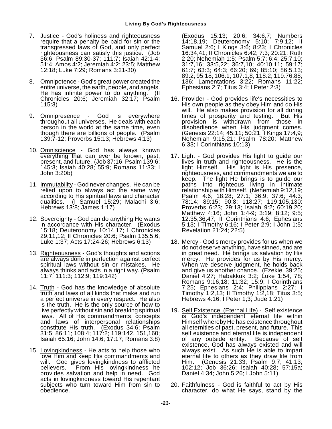- 7. Justice God's holiness and righteousness require that a penalty be paid for sin or the transgressed laws of God, and only perfect righteousness can satisfy this justice. (Job 36:6; Psalm 89:30-37; 111:7; Isaiah 42:1-4; 51:4; Amos 4:2; Jeremiah 4:2; 23:5; Matthew 12:18; Luke 7:29; Romans 3:21-30)
- 8. Omnipotence God's great power created the entire universe, the earth, people, and angels. He has infinite power to do anything. (II Chronicles 20:6; Jeremiah 32:17; Psalm 115:3)
- 9. Omnipresence God is everywhere throughout all universes. He deals with each person in the world at the same time, even though there are billions of people. (Psalm 139:7-12; Proverbs 15:13; Hebrews 4:13)
- 10. Omniscience God has always known everything that can ever be known, past, present, and future. (Job 37:16; Psalm 139:6; 145:3; Isaiah 40:28; 55:9; Romans 11:33; I John 3:20b)
- 11. Immutability God never changes. He can be relied upon to always act the same way according to His spiritual laws and character qualities. (I Samuel 15:29; Malachi 3:6; Hebrews 13:8; James 1:17)
- 12. Sovereignty God can do anything He wants in accordance with His character. (Exodus 15:18; Deuteronomy 10:14,17; I Chronicles 29:11,12; II Chronicles 20:6; Psalm 135:5,6; Luke 1:37; Acts 17:24-26; Hebrews 6:13)
- 13. Righteousness God's thoughts and actions are always done in perfection against perfect spiritual laws without sin or mistakes. He always thinks and acts in a right way. (Psalm 11:7; 111:3; 112:9; 119:142)
- 14. Truth God has the knowledge of absolute truth and laws of all kinds that make and run a perfect universe in every respect. He also is the truth. He is the only source of how to live perfectly without sin and breaking spiritual laws. All of His commandments, concepts and laws of interpersonal relationships constitute His truth. (Exodus 34:6; Psalm 31:5; 86:11; 108:4; 117:2; 119:142, 151,160; Isaiah 65:16; John 14:6; 17:17; Romans 3:8)
- 15. Lovingkindness He acts to help those who love Him and keep His commandments and will. God gives lovingkindness to afflicted<br>believers. From His lovingkindness he From His lovingkindness he provides salvation and help in need. God acts in lovingkindness toward His repentant subjects who turn toward Him from sin to obedience.

(Exodus 15:13; 20:6; 34:6,7; Numbers 14:18,19; Deuteronomy 5:10; 7:9,12; II Samuel 2:6; I Kings 3:6; 8:23; I Chronicles 16:34,41; II Chronicles 6:42; 7:3; 20:21; Ruth 2:20; Nehemiah 1:5; Psalm 5:7; 6:4; 25:7,10; 31:7,16; 33:5,22; 36:7,10; 40:10,11; 59:17; 61:7; 63:3; 64:3; 66:20; 69; 85:10; 86:5,13; 89:2; 95:18; 106:1; 107:1,8; 118:2; 119:76,88; 136; Lamentations 3:22; Romans 11:22; Ephesians 2:7; Titus 3:4; I Peter 2:3)

- 16. Provider God provides life's necessities to His own people as they obey Him and do His will. He also makes provision for all during<br>times of prosperity and testing. But His times of prosperity and testing. But His provision is withdrawn from those disobedience when His judgment comes. (Genesis 22:14; 45:11; 50:21; I Kings 17:4,9; Nehemiah 9:15,21; Psalm 78:20; Matthew 6:33; I Corinthians 10:13)
- 17. Light God provides His light to guide our lives in truth and righteousness. He is the light Himself. His light is His presence, His light is His presence, righteousness, and commandments we are to keep. The light He brings is to guide our paths into righteous living in intimate relationship with Himself. (Nehemiah 9:12,19; Psalm 4:6; 18:28; 27:1; 36:9; 37:6; 44:3; 78:14; 89:15; 90:8; 118:27; 119:105,130: Proverbs 6:23; 29:13; Isaiah 9:2; 60:19,20; Matthew 4:16; John 1:4-9; 3:19; 8:12; 9:5; 12:35,36,47; II Corinthians 4:6; Ephesians 5:13; I Timothy 6:16; I Peter 2:9; I John 1;5; Revelation 21:24; 22:5)
- 18. Mercy God's mercy provides for us when we do not deserve anything, have sinned, and are in great need. He brings us salvation by His mercy. He provides for us by His mercy. When we deserve judgment, he holds back and give us another chance. (Ezekiel 39:25; Daniel 4:27; Habakkuk 3:2; Luke 1:54, 78; Romans 9:16,18; 11:32; 15:9; I Corinthians 7:25; Ephesians 2:4; Philippians 2:27; I Timothy 1:2,13; II Timothy 1:2,18; Titus 3:5; Hebrews 4:16; I Peter 1;3; Jude 1:21)
- 19. Self Existence (Eternal Life) Self existence is God's independent eternal life within Himself whereby He has existence throughout all eternities of past, present, and future. This self existence and eternal life is independent<br>of any outside entity. Because of self of any outside entity. existence, God has always existed and will always exist. As such He is able to impart eternal life to others as they draw life from Him. (Genesis 21:33; Psalm 9:7; 41:13; 102:12; Job 36:26; Isaiah 40:28; 57:15a; Daniel 4:34; John 5:26; I John 5:11)
- 20. Faithfulness God is faithful to act by His character, do what He says, stand by the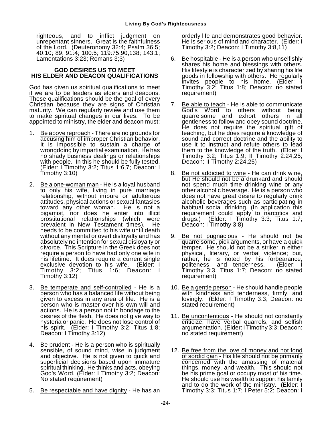righteous, and to inflict judgment on unrepentant sinners. Great is the faithfulness of the Lord. (Deuteronomy 32:4; Psalm 36:5; 40:10; 89; 91:4; 100:5; 119:75,90,138; 143:1; Lamentations 3:23; Romans 3;3)

# **GOD DESIRES US TO MEET HIS ELDER AND DEACON QUALIFICATIONS**

God has given us spiritual qualifications to meet if we are to be leaders as elders and deacons. These qualifications should be the goal of every Christian because they are signs of Christian maturity. We can regularly review and use them to make spiritual changes in our lives. To be appointed to ministry, the elder and deacon must:

- 1. Be above reproach There are no grounds for accusing him of improper Christian behavior. It is impossible to sustain a charge of wrongdoing by impartial examination. He has no shady business dealings or relationships with people. In this he should be fully tested. (Elder: I Timothy 3:2; Titus 1:6,7; Deacon: I Timothy 3:10)
- 2. Be a one-woman man He is a loyal husband to only his wife, living in pure marriage relationship, without impure or adulterous attitudes, physical actions or sexual fantasies toward any other woman. He is not a bigamist, nor does he enter into illicit<br>prostitutional relationships (which were prostitutional relationships prevalent in New Testament times). He needs to be committed to his wife until death without any mental or overt disloyalty and has absolutely no intention for sexual disloyalty or divorce. This Scripture in the Greek does not require a person to have had only one wife in his lifetime. It does require a current single exclusive devotion to his wife. (Elder: I exclusive devotion to his wife. Titus 1:6; Deacon: I Timothy 3:2;<br>Timothy 3:12)
- 3. Be temperate and self-controlled He is a person who has a balanced life without being given to excess in any area of life. He is a person who is master over his own will and actions. He is a person not in bondage to the desires of the flesh. He does not give way to hysteria or panic. He does not lose control of his spirit. (Elder: I Timothy 3:2; Titus 1:8; Deacon: I Timothy 3:12)
- 4. Be prudent He is a person who is spiritually sensible, of sound mind, wise in judgment and objective. He is not given to quick and superficial decisions based upon immature spiritual thinking. He thinks and acts, obeying God's Word. (Elder: I Timothy 3:2; Deacon: No stated requirement)
- 5. Be respectable and have dignity He has an

orderly life and demonstrates good behavior. He is serious of mind and character. (Elder: I Timothy 3:2; Deacon: I Timothy 3:8,11)

- 6. Be hospitable He is a person who unselfishly shares his home and blessings with others. His lifestyle is characterized by sharing his life goods in fellowship with others. He regularly invites people to his home. (Elder: I Timothy 3:2; Titus 1:8; Deacon: no stated requirement)
- 7. Be able to teach He is able to communicate<br>God's Word to others without being Word to others without being quarrelsome and exhort others in all gentleness to follow and obey sound doctrine. He does not require the spiritual gift of teaching, but he does require a knowledge of sound and correct doctrine and the ability to use it to instruct and refute others to lead them to the knowledge of the truth. (Elder: I Timothy 3:2; Titus 1:9; II Timothy 2:24,25; Deacon: II Timothy 2:24,25)
- 8. Be not addicted to wine He can drink wine, but He should not be a drunkard and should not spend much time drinking wine or any other alcoholic beverage. He is a person who does not have great desire to regularly drink alcoholic beverages such as participating in habitual social drinking. (In application this requirement could apply to narcotics and drugs.) (Elder: I Timothy 3:3; Titus 1:7; Deacon: I Timothy 3:8)
- 9. Be not pugnacious He should not be quarrelsome, pick arguments, or have a quick temper. He should not be a striker in either physical, literary, or verbal violence; but, rather, he is noted by his forbearance,<br>politeness, and tenderness. (Elder: I politeness, and tenderness. Timothy 3:3, Titus 1:7; Deacon: no stated requirement)
- 10. Be a gentle person He should handle people with kindness and tenderness, firmly, and lovingly. (Elder: I Timothy 3:3; Deacon: no stated requirement)
- 11. Be uncontentious He should not constantly criticize, have verbal quarrels, and selfish argumentation. (Elder: I Timothy 3:3; Deacon: no stated requirement)
- 12. Be free from the love of money and not fond of sordid gain - His life should not be primarily concerned with the amassing of material things, money, and wealth. This should not be his prime goal or occupy most of his time. He should use his wealth to support his family and to do the work of the ministry. (Elder: I Timothy 3:3; Titus 1:7; I Peter 5:2; Deacon: I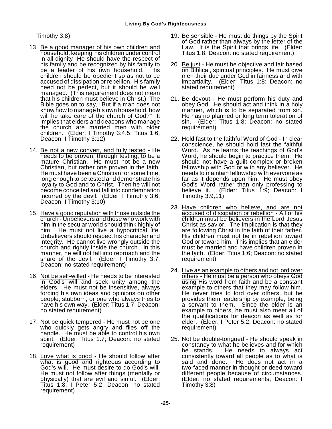Timothy 3:8)

- 13. Be a good manager of his own children and household, keeping his children under control in all dignity -He should have the respect of his family and be recognized by his family to be a leader of his own household. His children should be obedient so as not to be accused of dissipation or rebellion. His family need not be perfect, but it should be well managed. (This requirement does not mean that his children must believe in Christ.) The Bible goes on to say, "But if a man does not know how to manage his own household, how will he take care of the church of God?" It implies that elders and deacons who manage the church are married men with older children. (Elder: I Timothy 3:4,5; Titus 1:6; Deacon: I Timothy 3:12)
- 14. Be not a new convert, and fully tested He needs to be proven, through testing, to be a mature Christian. He must not be a new Christian, but rather one proven in the faith. He must have been a Christian for some time, long enough to be tested and demonstrate his loyalty to God and to Christ. Then he will not become conceited and fall into condemnation incurred by the devil. (Elder: I Timothy 3:6; Deacon: I Timothy 3:10)
- 15. Have a good reputation with those outside the church - Unbelievers and those who work with him in the secular world should think highly of him. He must not live a hypocritical life. Unbelievers should respect his character and integrity. He cannot live wrongly outside the church and rightly inside the church. In this manner, he will not fall into reproach and the snare of the devil. (Elder: I Timothy 3:7; Deacon: no stated requirement)
- 16. Not be self-willed He needs to be interested in God's will and seek unity among the elders. He must not be insensitive, always forcing his own ideas and opinions on other people; stubborn, or one who always tries to have his own way. (Elder: Titus 1:7; Deacon: no stated requirement)
- 17. Not be quick tempered He must not be one who quickly gets angry and flies off the handle. He must be able to control his own spirit. (Elder: Titus 1:7; Deacon: no stated requirement)
- 18. Love what is good He should follow after what is good and righteous according to God's will. He must desire to do God's will. He must not follow after things (mentally or physically) that are evil and sinful. (Elder: Titus 1:8; I Peter 5:2; Deacon: no stated requirement)
- 19. Be sensible He must do things by the Spirit of God rather than always by the letter of the Law. It is the Spirit that brings life. (Elder: Titus 1:8; Deacon: no stated requirement)
- 20. Be just He must be objective and fair based on Biblical, spiritual principles. He must give men their due under God in fairness and with impartiality. (Elder: Titus 1:8; Deacon: no stated requirement)
- 21. Be devout He must perform his duty and obey God. He should act and think in a holy manner, which is to be separated from sin. He has no planned or long term toleration of sin. (Elder: Titus 1:8; Deacon: no stated requirement)
- 22. Hold fast to the faithful Word of God In clear conscience, he should hold fast the faithful Word. As he learns the teachings of God's Word, he should begin to practice them. He should not have a guilt complex or broken fellowship with God or with any believer. He needs to maintain fellowship with everyone as far as it depends upon him. He must obey God's Word rather than only professing to believe it. (Elder: Titus 1:9; Deacon: I (Elder: Titus 1:9; Deacon: I Timothy 3:9,11)
- 23. Have children who believe, and are not accused of dissipation or rebellion - All of his children must be believers in the Lord Jesus Christ as savior. The implication is that they are following Christ in the faith of their father. His children must not be in rebellion toward God or toward him. This implies that an elder must be married and have children proven in the faith. (Elder: Titus 1:6; Deacon: no stated requirement)
- 24. Live as an example to others and not lord over others - He must be a person who obeys God using His word from faith and be a constant example to others that they may follow him. He never tries to lord over others, but he provides them leadership by example, being a servant to them. Since the elder is an example to others, he must also meet all of the qualifications for deacon as well as for elder. (Elder: I Peter 5:2; Deacon: no stated requirement)
- 25. Not be double-tongued He should speak in constancy to what he believes and for which he stands. He needs to always act consistently toward all people as to what is He does not act in a two-faced manner in thought or deed toward different people because of circumstances. (Elder: no stated requirements; Deacon: I Timothy 3:8)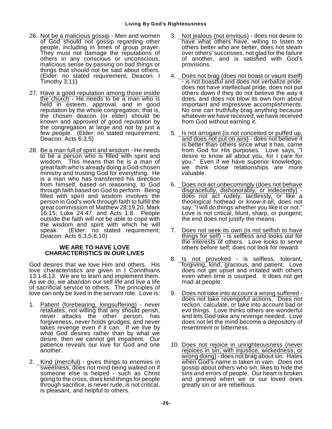- 26. Not be a malicious gossip Men and women of God should not gossip regarding other people, including in times of group prayer. They must not damage the reputations of others in any conscious or unconscious, malicious sense by passing on bad things or things that should not be said about others. (Elder: no stated requirement; Deacon: I Timothy 3:11)
- 27. Have a good reputation among those inside the church - He needs to be a man who is held in esteem, approval, and in good reputation by the whole congregation; that is, the chosen deacon (or elder) should be known and approved of good reputation by the congregation at large and not by just a few people. (Elder: no stated requirement; Deacon: Acts 6:3,5)
- 28. Be a man full of spirit and wisdom He needs to be a person who is filled with spirit and wisdom. This means that he is a man of great faith who is already doing a God-chosen ministry and trusting God for everything. He is a man who has transferred his direction from himself, based on reasoning, to God through faith based on God to perform. Being filled with spirit and wisdom involves the person in God's work through faith to fulfill the great commission of Matthew 28:19,20; Mark 16:15; Luke 24:47; and Acts 1:8. People outside the faith will not be able to cope with the wisdom and spirit with which he will<br>speak. (Elder: no stated requirement: (Elder: no stated requirement; Deacon: Acts 6:3,5,8,10)

# **WE ARE TO HAVE LOVE CHARACTERISTICS IN OUR LIVES**

God desires that we love Him and others. His love characteristics are given in I Corinthians 13:1-8,13. We are to learn and implement them. As we do, we abandon our self life and live a life of sacrificial service to others. The principles of love can only be lived in the servant role. Love is:

- 1. Patient (forebearing, longsuffering) never retaliates, not willing that any should perish, never attacks the other person, has forgiveness, never holds grudges, and never takes revenge even if it can. If we live by what God desires rather than by what we desire, then we cannot get impatient. Our patience reveals our love for God and one another.
- 2. Kind (merciful) gives things to enemies in sweetness, does not mind being walked on if someone else is helped - such as Christ going to the cross, does kind things for people through sacrifice, is never rude, is not critical, is pleasant, and helpful to others.
- 3. Not jealous (not envious) does not desire to have what others have, willing to listen to others better who are better, does not steam over others' successes, not glad for the failure of another, and is satisfied with God's provisions.
- 4. Does not brag (does not boast or vaunt itself) - is not boastful and does not verbalize pride, does not have intellectual pride, does not put others down if they do not believe the way it does, and does not blow its own horn about important and impressive accomplishments. No one can truthfully brag anything because whatever we have received, we have received from God without earning it.
- 5. Is not arrogant (is not conceited or puffed up, and does not put on airs) - does not believe it is better than others since what it has, came from God for His purposes. Love says, "I desire to know all about you, for I care for you." Even if we have superior knowledge, we think close relationships are more valuable.
- 6. Does not act unbecomingly (does not behave disgracefully, dishonorably, or indecently) does not act rudely, tactlessly, or like a theological hothead or know-it-all, does not say, "I will do things whether you like it or not." Love is not critical, blunt, sharp, or pungent; the end does not justify the means.
- 7. Does not seek its own (is not selfish to have things for self) - is selfless and looks out for the interests of others. Love looks to serve others before self; does not look for reward.
- 8. Is not provoked is selfless, tolerant, forgiving, kind, gracious, and patient. Love does not get upset and irritated with others even when time is usurped. It does not get mad at people.
- 9. Does not take into account a wrong suffered does not take revengeful actions. Does not reckon, calculate, or take into account bad or evil things. Love thinks others are wonderful and lets God take any revenge needed. Love does not let the mind become a depository of resentment or bitterness.
- 10. Does not rejoice in unrighteousness (never rejoices in sin, with injustice, wickedness, or wrong doing) - does not brag about sin. Hates when God's name is taken in vain. Does not gossip about others who sin; likes to hide the sins and errors of people. Our heart is broken and grieved when we or our loved ones greatly sin or are rebellious.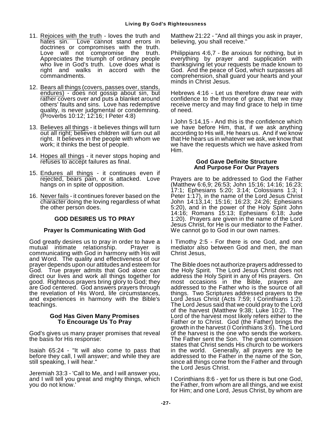- 11. Rejoices with the truth loves the truth and hates sin. Love cannot stand errors in doctrines or compromises with the truth. Love will not compromise the truth. Appreciates the triumph of ordinary people who live in God's truth. Love does what is right and walks in accord with the commandments.
- 12. Bears all things (covers, passes over, stands, endures) - does not gossip about sin, but rather covers over and puts a blanket around others' faults and sins. Love has redemptive quality, is never judgmental or condemning. (Proverbs 10:12; 12:16; I Peter 4:8)
- 13. Believes all things it believes things will turn out all right; believes children will turn out all right. It believes in the people with whom we work; it thinks the best of people.
- 14. Hopes all things it never stops hoping and refuses to accept failures as final.
- 15. Endures all things it continues even if rejected, bears pain, or is attacked. Love hangs on in spite of opposition.
- 16. Never fails it continues forever based on the character doing the loving regardless of what the other person does.

# **GOD DESIRES US TO PRAY**

# **Prayer Is Communicating With God**

God greatly desires us to pray in order to have a<br>mutual intimate relationship. Prayer is mutual intimate relationship. communicating with God in harmony with His will and Word. The quality and effectiveness of our prayer depends upon our attitudes and esteem for God. True prayer admits that God alone can direct our lives and work all things together for good. Righteous prayers bring glory to God; they are God centered. God answers prayers through the revelation of His Word, life circumstances, and experiences in harmony with the Bible's teachings.

## **God Has Given Many Promises To Encourage Us To Pray**

God's gives us many prayer promises that reveal the basis for His response:

Isaiah 65:24 - "It will also come to pass that before they call, I will answer; and while they are still speaking, I will hear."

Jeremiah 33:3 - 'Call to Me, and I will answer you, and I will tell you great and mighty things, which you do not know.'

Matthew 21:22 - "And all things you ask in prayer, believing, you shall receive."

Philippians 4:6,7 - Be anxious for nothing, but in everything by prayer and supplication with thanksgiving let your requests be made known to God. And the peace of God, which surpasses all comprehension, shall guard your hearts and your minds in Christ Jesus.

Hebrews 4:16 - Let us therefore draw near with confidence to the throne of grace, that we may receive mercy and may find grace to help in time of need.

I John 5:14,15 - And this is the confidence which we have before Him, that, if we ask anything according to His will, He hears us. And if we know that He hears us in whatever we ask, we know that we have the requests which we have asked from Him.

#### **God Gave Definite Structure And Purpose For Our Prayers**

Prayers are to be addressed to God the Father (Matthew 6:6,9; 26:53; John 15:16; 14:16; 16:23; 17:1; Ephesians 5:20; 3:14; Colossians 1:3; I Peter 1:17), in the name of the Lord Jesus Christ John 14:13,14; 15:16; 16:23; 24:26; Ephesians 5:20), and in the power of the Holy Spirit John 14:16; Romans 15:13; Ephesians 6:18; Jude 1:20). Prayers are given in the name of the Lord Jesus Christ, for He is our mediator to the Father. We cannot go to God in our own names.

I Timothy 2:5 - For there is one God, and one mediator also between God and men, the man Christ Jesus,

The Bible does not authorize prayers addressed to the Holy Spirit. The Lord Jesus Christ does not address the Holy Spirit in any of His prayers. On most occasions in the Bible, prayers are addressed to the Father who is the source of all things. Two Scriptures addressed prayers to the Lord Jesus Christ (Acts 7:59; I Corinthians 1:2). The Lord Jesus said that we could pray to the Lord of the harvest (Matthew 9:38; Luke 10:2). The Lord of the harvest most likely refers either to the Father or to Christ. God (the Father) brings the growth in the harvest (I Corinthians 3:6). The Lord of the harvest is the one who sends the workers. The Father sent the Son. The great commission states that Christ sends His church to be workers in the world. Generally, all prayers are to be addressed to the Father in the name of the Son, since all things come from the Father and through the Lord Jesus Christ.

I Corinthians 8:6 - yet for us there is but one God, the Father, from whom are all things, and we exist for Him; and one Lord, Jesus Christ, by whom are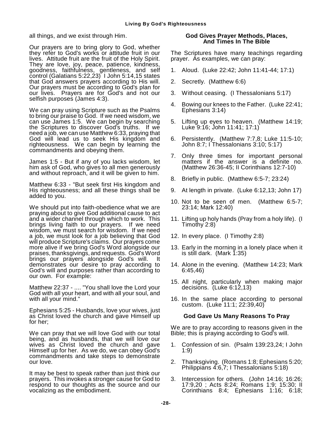all things, and we exist through Him.

Our prayers are to bring glory to God, whether they refer to God's works or attitude fruit in our lives. Attitude fruit are the fruit of the Holy Spirit. They are love, joy, peace, patience, kindness, goodness, faithfulness, gentleness, and self control (Galatians 5:22,23) I John 5:14,15 states that God answers prayers according to His will. Our prayers must be according to God's plan for our lives. Prayers are for God's and not our selfish purposes (James 4:3).

We can pray using Scripture such as the Psalms to bring our praise to God. If we need wisdom, we can use James 1:5. We can begin by searching the Scriptures to discover God's truths. If we need a job, we can use Matthew 6:33, praying that God will lead us to seek His kingdom and righteousness. We can begin by learning the commandments and obeying them.

James 1:5 - But if any of you lacks wisdom, let him ask of God, who gives to all men generously and without reproach, and it will be given to him.

Matthew 6:33 - "But seek first His kingdom and His righteousness; and all these things shall be added to you.

We should put into faith-obedience what we are praying about to give God additional cause to act and a wider channel through which to work. This brings living faith to our prayers. If we need wisdom, we must search for wisdom. If we need a job, we must look for a job believing that God will produce Scripture's claims. Our prayers come more alive if we bring God's Word alongside our praises, thanksgivings, and requests. God's Word brings our prayers alongside God's will. demonstrates our desire to pray according to God's will and purposes rather than according to our own. For example:

Matthew 22:37 - .... "You shall love the Lord your God with all your heart, and with all your soul, and with all your mind."

Ephesians 5:25 - Husbands, love your wives, just as Christ loved the church and gave Himself up for her;

We can pray that we will love God with our total being, and as husbands, that we will love our wives as Christ loved the church and gave Himself up for her. As we do, we can obey God's commandments and take steps to demonstrate our love.

It may be best to speak rather than just think our prayers. This invokes a stronger cause for God to respond to our thoughts as the source and our vocalizing as the embodiment.

## **God Gives Prayer Methods, Places, And Times In The Bible**

The Scriptures have many teachings regarding prayer. As examples, we can pray:

- 1. Aloud. (Luke 22:42; John 11:41-44; 17:1)
- 2. Secretly. (Matthew 6:6)
- 3. Without ceasing. (I Thessalonians 5:17)
- 4. Bowing our knees to the Father. (Luke 22:41; Ephesians 3:14)
- 5. Lifting up eyes to heaven. (Matthew 14:19; Luke 9:16; John 11:41; 17:1)
- 6. Persistently. (Matthew 7:7,8; Luke 11:5-10; John 8:7; I Thessalonians 3:10; 5:17)
- 7. Only three times for important personal matters if the answer is a definite no. (Matthew 26:36-45; II Corinthians 12:7-10)
- 8. Briefly in public. (Matthew 6:5-7; 23:24)
- 9. At length in private. (Luke 6:12,13; John 17)
- 10. Not to be seen of men. (Matthew 6:5-7; 23:14; Mark 12:40)
- 11. Lifting up holy hands (Pray from a holy life). (I Timothy 2:8)
- 12. In every place. (I Timothy 2:8)
- 13. Early in the morning in a lonely place when it is still dark. (Mark  $1:35$ )
- 14. Alone in the evening. (Matthew 14:23; Mark 6:45,46)
- 15. All night, particularly when making major decisions. (Luke 6:12,13)
- 16. In the same place according to personal custom. (Luke 11:1; 22:39,40)

# **God Gave Us Many Reasons To Pray**

We are to pray according to reasons given in the Bible; this is praying according to God's will.

- 1. Confession of sin. (Psalm 139:23,24; I John 1:9)
- 2. Thanksgiving. (Romans 1:8; Ephesians 5:20; Philippians 4:6,7; I Thessalonians 5:18)
- 3. Intercession for others. (John 14:16; 16:26; 17:9,20 ; Acts 8:24; Romans 1:9; 15:30; II Corinthians 8:4; Ephesians 1:16; 6:18;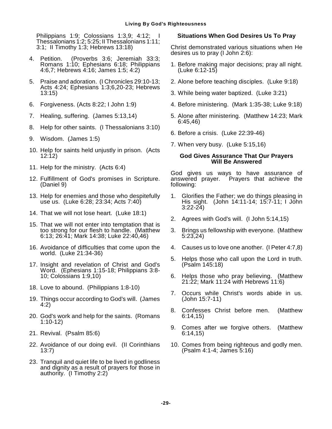Philippians 1:9; Colossians 1:3,9; 4:12; Thessalonians  $1:2; 5:25;$  II Thessalonians  $1:11;$ 3:1; II Timothy 1:3; Hebrews 13:18)

- 4. Petition. (Proverbs 3:6; Jeremiah 33:3; Romans 1:10; Ephesians 6:18; Philippians 4:6,7; Hebrews 4:16; James 1:5; 4:2)
- 5. Praise and adoration. (I Chronicles 29:10-13; Acts 4:24; Ephesians 1:3;6,20-23; Hebrews 13:15)
- 6. Forgiveness. (Acts 8:22; I John 1:9)
- 7. Healing, suffering. (James 5:13,14)
- 8. Help for other saints. (I Thessalonians 3:10)
- 9. Wisdom. (James 1:5)
- 10. Help for saints held unjustly in prison. (Acts 12:12)
- 11. Help for the ministry. (Acts 6:4)
- 12. Fulfillment of God's promises in Scripture. (Daniel 9)
- 13. Help for enemies and those who despitefully use us. (Luke 6:28; 23:34; Acts 7:40)
- 14. That we will not lose heart. (Luke 18:1)
- 15. That we will not enter into temptation that is too strong for our flesh to handle. (Matthew 6:13; 26:41; Mark 14:38; Luke 22:40,46)
- 16. Avoidance of difficulties that come upon the world. (Luke 21:34-36)
- 17. Insight and revelation of Christ and God's Word. (Ephesians 1:15-18; Philippians 3:8- 10; Colossians 1:9,10)
- 18. Love to abound. (Philippians 1:8-10)
- 19. Things occur according to God's will. (James 4:2)
- 20. God's work and help for the saints. (Romans 1:10-12)
- 21. Revival. (Psalm 85:6)
- 22. Avoidance of our doing evil. (II Corinthians 13:7)
- 23. Tranquil and quiet life to be lived in godliness and dignity as a result of prayers for those in authority. (I Timothy 2:2)

# **Situations When God Desires Us To Pray**

Christ demonstrated various situations when He desires us to pray (I John 2:6):

- 1. Before making major decisions; pray all night. (Luke 6:12-15)
- 2. Alone before teaching disciples. (Luke 9:18)
- 3. While being water baptized. (Luke 3:21)
- 4. Before ministering. (Mark 1:35-38; Luke 9:18)
- 5. Alone after ministering. (Matthew 14:23; Mark 6:45,46)
- 6. Before a crisis. (Luke 22:39-46)
- 7. When very busy. (Luke 5:15,16)

# **God Gives Assurance That Our Prayers Will Be Answered**

God gives us ways to have assurance of answered prayer. Prayers that achieve the Prayers that achieve the following:

- 1. Glorifies the Father; we do things pleasing in His sight. (John 14:11-14; 15:7-11; I John 3:22-24)
- 2. Agrees with God's will. (I John 5:14,15)
- 3. Brings us fellowship with everyone. (Matthew 5:23,24)
- 4. Causes us to love one another. (I Peter 4:7,8)
- 5. Helps those who call upon the Lord in truth. (Psalm 145:18)
- 6. Helps those who pray believing. (Matthew 21:22; Mark 11:24 with Hebrews 11:6)
- 7. Occurs while Christ's words abide in us. (John 15:7-11)
- 8. Confesses Christ before men. (Matthew 6:14,15)
- 9. Comes after we forgive others. (Matthew 6:14,15)
- 10. Comes from being righteous and godly men. (Psalm 4:1-4; James 5:16)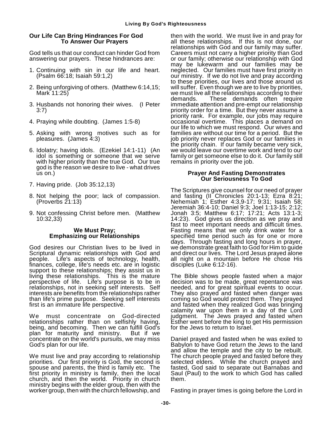## **Our Life Can Bring Hindrances For God To Answer Our Prayers**

God tells us that our conduct can hinder God from answering our prayers. These hindrances are:

- 1. Continuing with sin in our life and heart. (Psalm 66:18; Isaiah 59:1,2)
- 2. Being unforgiving of others. (Matthew 6:14,15; Mark 11:25)
- 3. Husbands not honoring their wives. (I Peter 3:7)
- 4. Praying while doubting. (James 1:5-8)
- 5. Asking with wrong motives such as for pleasures. (James 4:3)
- 6. Idolatry; having idols. (Ezekiel 14:1-11) (An idol is something or someone that we serve with higher priority than the true God. Our true god is the reason we desire to live - what drives us on.)
- 7. Having pride. (Job 35:12,13)
- 8. Not helping the poor; lack of compassion. (Proverbs 21:13)
- 9. Not confessing Christ before men. (Matthew 10:32,33)

#### **We Must Pray; Emphasizing our Relationships**

God desires our Christian lives to be lived in Scriptural dynamic relationships with God and people. Life's aspects of technology, health, finances, college, life's needs etc. are in logistic support to these relationships; they assist us in living these relationships. This is the mature perspective of life. Life's purpose is to be in relationships, not in seeking self interests. Self interests are benefits from the relationships rather than life's prime purpose. Seeking self interests first is an immature life perspective.

We must concentrate on God-directed relationships rather than on selfishly having, being, and becoming. Then we can fulfill God's<br>plan for maturity and ministry. But if we plan for maturity and ministry. concentrate on the world's pursuits, we may miss God's plan for our life.

We must live and pray according to relationship priorities. Our first priority is God, the second is spouse and parents, the third is family etc. The first priority in ministry is family, then the local church, and then the world. Priority in church ministry begins with the elder group, then with the worker group, then with the church fellowship, and

then with the world. We must live in and pray for all these relationships. If this is not done, our relationships with God and our family may suffer. Careers must not carry a higher priority than God or our family; otherwise our relationship with God may be lukewarm and our families may be neglected. Our families must have first priority in our ministry. If we do not live and pray according to these priorities, our lives and those around us will suffer. Even though we are to live by priorities, we must live all the relationships according to their<br>demands. These demands often require These demands often require immediate attention and pre-empt our relationship priority order for a time. But they never assume a priority rank. For example, our jobs may require occasional overtime. This places a demand on our life to which we must respond. Our wives and families are without our time for a period. But the job priority never replaces God or our families in the priority chain. If our family became very sick, we would leave our overtime work and tend to our family or get someone else to do it. Our family still remains in priority over the job.

#### **Prayer And Fasting Demonstrates Our Seriousness To God**

The Scriptures give counsel for our need of prayer and fasting (II Chronicles 20:1-13; Ezra 8:21; Nehemiah 1; Esther 4:3,9-17; 9:31; Isaiah 58; Jeremiah 36:4-10; Daniel 9:3; Joel 1:13-15; 2:12; Jonah 3:5; Matthew 6:17; 17:21; Acts 13:1-3; 14:23). God gives us direction as we pray and fast to meet important needs and difficult times. Fasting means that we only drink water for a specified time period such as for one or more days. Through fasting and long hours in prayer, we demonstrate great faith to God for Him to guide and direct our lives. The Lord Jesus prayed alone all night on a mountain before He chose His disciples (Luke 6:12-16).

The Bible shows people fasted when a major decision was to be made, great repentance was needed, and for great spiritual events to occur. They also prayed and fasted when danger was coming so God would protect them. They prayed and fasted when they realized God was bringing calamity war upon them in a day of the Lord judgment. The Jews prayed and fasted when Esther went before the king to get His permission for the Jews to return to Israel.

Daniel prayed and fasted when he was exiled to Babylon to have God return the Jews to the land and allow the temple and the city to be rebuilt. The church people prayed and fasted before they selected elders. While the church prayed and fasted, God said to separate out Barnabas and Saul (Paul) to the work to which God has called them.

Fasting in prayer times is going before the Lord in